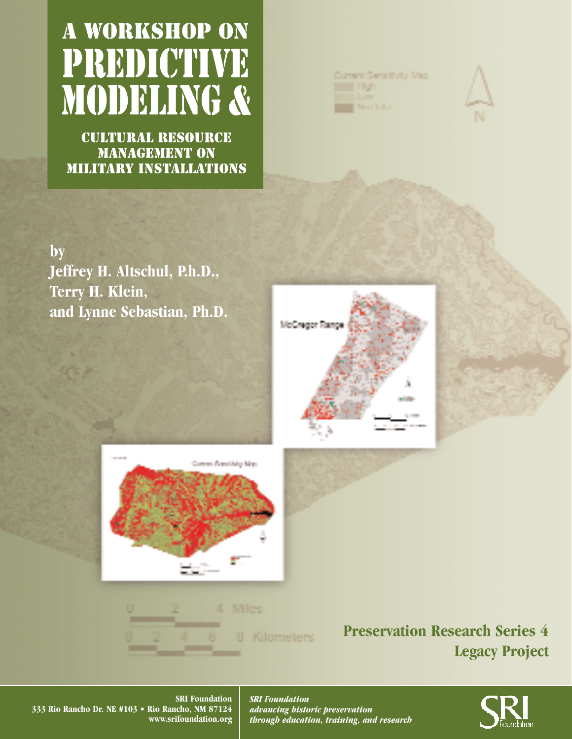# **A WORKSHOP ON** PREDICTIVE **MODELING &**

**CULTURAL RESOURCE MANAGEMENT ON MILITARY INSTALLATIONS** 

| Surrent Sensitivity Map |  |
|-------------------------|--|
| TI AT                   |  |
| <b>Light</b>            |  |
| <b>March Loke</b>       |  |



**by Jeffrey H. Altschul, P.h.D., Terry H. Klein, and Lynne Sebastian, Ph.D.**







**Preservation Research Series 4 Legacy Project**

**SRI Foundation 333 Rio Rancho Dr. NE #103 • Rio Rancho, NM 87124 www.srifoundation.org** *SRI Foundation advancing historic preservation through education, training, and research*

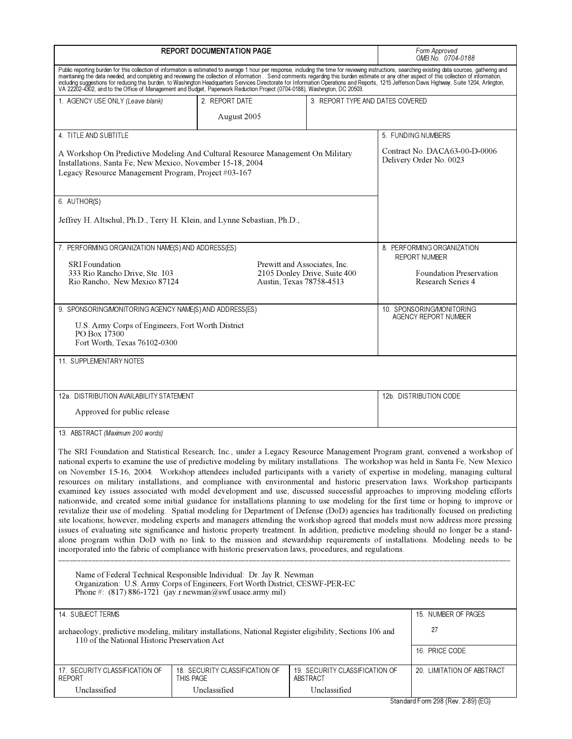| <b>REPORT DOCUMENTATION PAGE</b>                                                                                                                                                                                                                                                                                                                                                                                                                                                                                                                                                                                                                                                                                                                                                                                                                                                                                                                                                                                                                                                                                                                                                                                                                                                                                                                                                                                                                                     |           |                                |  |                                                   |  | Form Approved<br>OMB No. 0704-0188                       |  |  |
|----------------------------------------------------------------------------------------------------------------------------------------------------------------------------------------------------------------------------------------------------------------------------------------------------------------------------------------------------------------------------------------------------------------------------------------------------------------------------------------------------------------------------------------------------------------------------------------------------------------------------------------------------------------------------------------------------------------------------------------------------------------------------------------------------------------------------------------------------------------------------------------------------------------------------------------------------------------------------------------------------------------------------------------------------------------------------------------------------------------------------------------------------------------------------------------------------------------------------------------------------------------------------------------------------------------------------------------------------------------------------------------------------------------------------------------------------------------------|-----------|--------------------------------|--|---------------------------------------------------|--|----------------------------------------------------------|--|--|
| Public reporting burden for this collection of information is estimated to average 1 hour per response, including the time for reviewing instructions, searching existing data sources, gathering and<br>maintaining the data needed, and completing and reviewing the collection of information. Send comments regarding this burden estimate or any other aspect of this collection of information, including suggestions for reducin                                                                                                                                                                                                                                                                                                                                                                                                                                                                                                                                                                                                                                                                                                                                                                                                                                                                                                                                                                                                                              |           |                                |  |                                                   |  |                                                          |  |  |
| 1. AGENCY USE ONLY (Leave blank)                                                                                                                                                                                                                                                                                                                                                                                                                                                                                                                                                                                                                                                                                                                                                                                                                                                                                                                                                                                                                                                                                                                                                                                                                                                                                                                                                                                                                                     |           | 2. REPORT DATE                 |  | 3. REPORT TYPE AND DATES COVERED                  |  |                                                          |  |  |
|                                                                                                                                                                                                                                                                                                                                                                                                                                                                                                                                                                                                                                                                                                                                                                                                                                                                                                                                                                                                                                                                                                                                                                                                                                                                                                                                                                                                                                                                      |           | August 2005                    |  |                                                   |  |                                                          |  |  |
| 4. TITLE AND SUBTITLE                                                                                                                                                                                                                                                                                                                                                                                                                                                                                                                                                                                                                                                                                                                                                                                                                                                                                                                                                                                                                                                                                                                                                                                                                                                                                                                                                                                                                                                |           |                                |  |                                                   |  | 5. FUNDING NUMBERS                                       |  |  |
| A Workshop On Predictive Modeling And Cultural Resource Management On Military<br>Installations, Santa Fe, New Mexico, November 15-18, 2004<br>Legacy Resource Management Program, Project #03-167                                                                                                                                                                                                                                                                                                                                                                                                                                                                                                                                                                                                                                                                                                                                                                                                                                                                                                                                                                                                                                                                                                                                                                                                                                                                   |           |                                |  |                                                   |  | Contract No. DACA63-00-D-0006<br>Delivery Order No. 0023 |  |  |
| 6. AUTHOR(S)                                                                                                                                                                                                                                                                                                                                                                                                                                                                                                                                                                                                                                                                                                                                                                                                                                                                                                                                                                                                                                                                                                                                                                                                                                                                                                                                                                                                                                                         |           |                                |  |                                                   |  |                                                          |  |  |
| Jeffrey H. Altschul, Ph.D., Terry H. Klein, and Lynne Sebastian, Ph.D.,                                                                                                                                                                                                                                                                                                                                                                                                                                                                                                                                                                                                                                                                                                                                                                                                                                                                                                                                                                                                                                                                                                                                                                                                                                                                                                                                                                                              |           |                                |  |                                                   |  |                                                          |  |  |
| 7. PERFORMING ORGANIZATION NAME(S) AND ADDRESS(ES)                                                                                                                                                                                                                                                                                                                                                                                                                                                                                                                                                                                                                                                                                                                                                                                                                                                                                                                                                                                                                                                                                                                                                                                                                                                                                                                                                                                                                   |           |                                |  |                                                   |  | 8. PERFORMING ORGANIZATION                               |  |  |
| <b>SRI Foundation</b>                                                                                                                                                                                                                                                                                                                                                                                                                                                                                                                                                                                                                                                                                                                                                                                                                                                                                                                                                                                                                                                                                                                                                                                                                                                                                                                                                                                                                                                |           |                                |  | Prewitt and Associates, Inc.                      |  | <b>REPORT NUMBER</b>                                     |  |  |
| 333 Rio Rancho Drive, Ste. 103<br>2105 Donley Drive, Suite 400<br>Rio Rancho, New Mexico 87124<br>Austin, Texas 78758-4513                                                                                                                                                                                                                                                                                                                                                                                                                                                                                                                                                                                                                                                                                                                                                                                                                                                                                                                                                                                                                                                                                                                                                                                                                                                                                                                                           |           |                                |  |                                                   |  | <b>Foundation Preservation</b><br>Research Series 4      |  |  |
| 9. SPONSORING/MONITORING AGENCY NAME(S) AND ADDRESS(ES)                                                                                                                                                                                                                                                                                                                                                                                                                                                                                                                                                                                                                                                                                                                                                                                                                                                                                                                                                                                                                                                                                                                                                                                                                                                                                                                                                                                                              |           |                                |  |                                                   |  | 10. SPONSORING/MONITORING                                |  |  |
| U.S. Army Corps of Engineers, Fort Worth District<br>PO Box 17300<br>Fort Worth, Texas 76102-0300                                                                                                                                                                                                                                                                                                                                                                                                                                                                                                                                                                                                                                                                                                                                                                                                                                                                                                                                                                                                                                                                                                                                                                                                                                                                                                                                                                    |           |                                |  |                                                   |  | AGENCY REPORT NUMBER                                     |  |  |
| 11. SUPPLEMENTARY NOTES                                                                                                                                                                                                                                                                                                                                                                                                                                                                                                                                                                                                                                                                                                                                                                                                                                                                                                                                                                                                                                                                                                                                                                                                                                                                                                                                                                                                                                              |           |                                |  |                                                   |  |                                                          |  |  |
|                                                                                                                                                                                                                                                                                                                                                                                                                                                                                                                                                                                                                                                                                                                                                                                                                                                                                                                                                                                                                                                                                                                                                                                                                                                                                                                                                                                                                                                                      |           |                                |  |                                                   |  |                                                          |  |  |
| 12a. DISTRIBUTION AVAILABILITY STATEMENT                                                                                                                                                                                                                                                                                                                                                                                                                                                                                                                                                                                                                                                                                                                                                                                                                                                                                                                                                                                                                                                                                                                                                                                                                                                                                                                                                                                                                             |           |                                |  |                                                   |  | 12b. DISTRIBUTION CODE                                   |  |  |
| Approved for public release                                                                                                                                                                                                                                                                                                                                                                                                                                                                                                                                                                                                                                                                                                                                                                                                                                                                                                                                                                                                                                                                                                                                                                                                                                                                                                                                                                                                                                          |           |                                |  |                                                   |  |                                                          |  |  |
| 13. ABSTRACT (Maximum 200 words)                                                                                                                                                                                                                                                                                                                                                                                                                                                                                                                                                                                                                                                                                                                                                                                                                                                                                                                                                                                                                                                                                                                                                                                                                                                                                                                                                                                                                                     |           |                                |  |                                                   |  |                                                          |  |  |
| The SRI Foundation and Statistical Research, Inc., under a Legacy Resource Management Program grant, convened a workshop of<br>national experts to examine the use of predictive modeling by military installations. The workshop was held in Santa Fe, New Mexico<br>on November 15-16, 2004. Workshop attendees included participants with a variety of expertise in modeling, managing cultural<br>resources on military installations, and compliance with environmental and historic preservation laws. Workshop participants<br>examined key issues associated with model development and use, discussed successful approaches to improving modeling efforts<br>nationwide, and created some initial guidance for installations planning to use modeling for the first time or hoping to improve or<br>revitalize their use of modeling. Spatial modeling for Department of Defense (DoD) agencies has traditionally focused on predicting<br>site locations; however, modeling experts and managers attending the workshop agreed that models must now address more pressing<br>issues of evaluating site significance and historic property treatment. In addition, predictive modeling should no longer be a stand-<br>alone program within DoD with no link to the mission and stewardship requirements of installations. Modeling needs to be<br>incorporated into the fabric of compliance with historic preservation laws, procedures, and regulations. |           |                                |  |                                                   |  |                                                          |  |  |
| Name of Federal Technical Responsible Individual: Dr. Jay R. Newman<br>Organization: U.S. Army Corps of Engineers, Fort Worth District, CESWF-PER-EC<br>Phone #: $(817) 886-1721$ (jay.r.newman@swf.usace.army.mil)                                                                                                                                                                                                                                                                                                                                                                                                                                                                                                                                                                                                                                                                                                                                                                                                                                                                                                                                                                                                                                                                                                                                                                                                                                                  |           |                                |  |                                                   |  |                                                          |  |  |
| 14. SUBJECT TERMS                                                                                                                                                                                                                                                                                                                                                                                                                                                                                                                                                                                                                                                                                                                                                                                                                                                                                                                                                                                                                                                                                                                                                                                                                                                                                                                                                                                                                                                    |           | 15. NUMBER OF PAGES            |  |                                                   |  |                                                          |  |  |
| archaeology, predictive modeling, military installations, National Register eligibility, Sections 106 and<br>110 of the National Historic Preservation Act                                                                                                                                                                                                                                                                                                                                                                                                                                                                                                                                                                                                                                                                                                                                                                                                                                                                                                                                                                                                                                                                                                                                                                                                                                                                                                           |           |                                |  |                                                   |  | 27                                                       |  |  |
|                                                                                                                                                                                                                                                                                                                                                                                                                                                                                                                                                                                                                                                                                                                                                                                                                                                                                                                                                                                                                                                                                                                                                                                                                                                                                                                                                                                                                                                                      |           |                                |  |                                                   |  | 16. PRICE CODE                                           |  |  |
| 17. SECURITY CLASSIFICATION OF<br><b>REPORT</b>                                                                                                                                                                                                                                                                                                                                                                                                                                                                                                                                                                                                                                                                                                                                                                                                                                                                                                                                                                                                                                                                                                                                                                                                                                                                                                                                                                                                                      | THIS PAGE | 18. SECURITY CLASSIFICATION OF |  | 19. SECURITY CLASSIFICATION OF<br><b>ABSTRACT</b> |  | 20. LIMITATION OF ABSTRACT                               |  |  |
| Unclassified                                                                                                                                                                                                                                                                                                                                                                                                                                                                                                                                                                                                                                                                                                                                                                                                                                                                                                                                                                                                                                                                                                                                                                                                                                                                                                                                                                                                                                                         |           | Unclassified                   |  | Unclassified                                      |  |                                                          |  |  |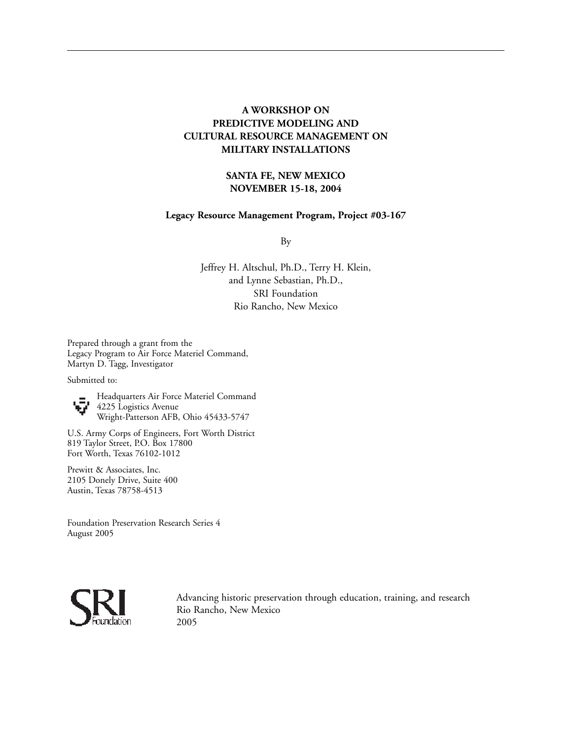### **A WORKSHOP ON PREDICTIVE MODELING AND CULTURAL RESOURCE MANAGEMENT ON MILITARY INSTALLATIONS**

### **SANTA FE, NEW MEXICO NOVEMBER 15-18, 2004**

#### **Legacy Resource Management Program, Project #03-167**

By

Jeffrey H. Altschul, Ph.D., Terry H. Klein, and Lynne Sebastian, Ph.D., SRI Foundation Rio Rancho, New Mexico

Prepared through a grant from the Legacy Program to Air Force Materiel Command, Martyn D. Tagg, Investigator

Submitted to:



Headquarters Air Force Materiel Command  $\begin{bmatrix} 1 & 1 \\ 4 & 225 \end{bmatrix}$  Logistics Avenue Wright-Patterson AFB, Ohio 45433-5747

U.S. Army Corps of Engineers, Fort Worth District 819 Taylor Street, P.O. Box 17800 Fort Worth, Texas 76102-1012

Prewitt & Associates, Inc. 2105 Donely Drive, Suite 400 Austin, Texas 78758-4513

Foundation Preservation Research Series 4 August 2005



Advancing historic preservation through education, training, and research Rio Rancho, New Mexico 2005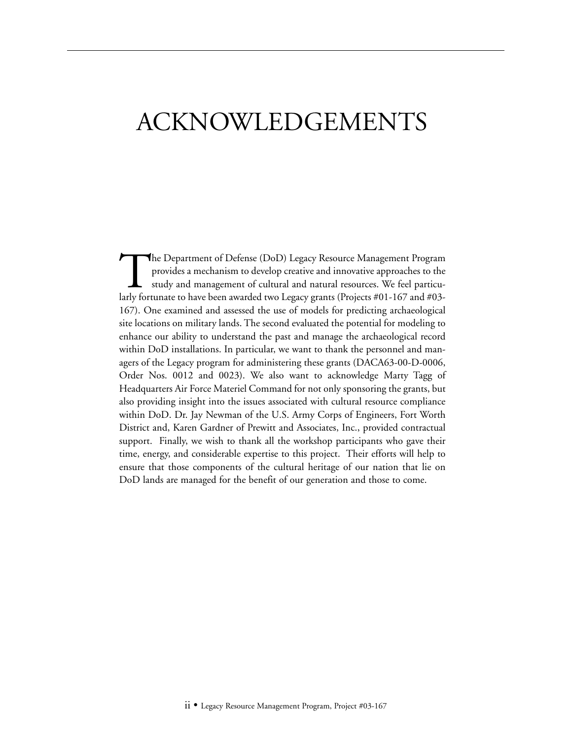### ACKNOWLEDGEMENTS

The Department of Defense (DoD) Legacy Resource Management Program<br>provides a mechanism to develop creative and innovative approaches to the<br>study and management of cultural and natural resources. We feel particu-<br>larly fo provides a mechanism to develop creative and innovative approaches to the study and management of cultural and natural resources. We feel particularly fortunate to have been awarded two Legacy grants (Projects #01-167 and #03- 167). One examined and assessed the use of models for predicting archaeological site locations on military lands. The second evaluated the potential for modeling to enhance our ability to understand the past and manage the archaeological record within DoD installations. In particular, we want to thank the personnel and managers of the Legacy program for administering these grants (DACA63-00-D-0006, Order Nos. 0012 and 0023). We also want to acknowledge Marty Tagg of Headquarters Air Force Materiel Command for not only sponsoring the grants, but also providing insight into the issues associated with cultural resource compliance within DoD. Dr. Jay Newman of the U.S. Army Corps of Engineers, Fort Worth District and, Karen Gardner of Prewitt and Associates, Inc., provided contractual support. Finally, we wish to thank all the workshop participants who gave their time, energy, and considerable expertise to this project. Their efforts will help to ensure that those components of the cultural heritage of our nation that lie on DoD lands are managed for the benefit of our generation and those to come.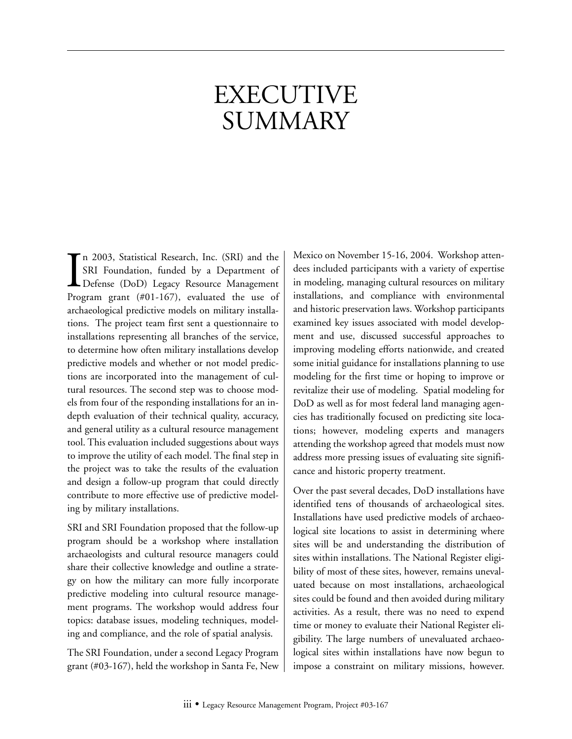## EXECUTIVE SUMMARY

I<sub>Pro</sub> n 2003, Statistical Research, Inc. (SRI) and the SRI Foundation, funded by a Department of Defense (DoD) Legacy Resource Management Program grant (#01-167), evaluated the use of archaeological predictive models on military installations. The project team first sent a questionnaire to installations representing all branches of the service, to determine how often military installations develop predictive models and whether or not model predictions are incorporated into the management of cultural resources. The second step was to choose models from four of the responding installations for an indepth evaluation of their technical quality, accuracy, and general utility as a cultural resource management tool. This evaluation included suggestions about ways to improve the utility of each model. The final step in the project was to take the results of the evaluation and design a follow-up program that could directly contribute to more effective use of predictive modeling by military installations.

SRI and SRI Foundation proposed that the follow-up program should be a workshop where installation archaeologists and cultural resource managers could share their collective knowledge and outline a strategy on how the military can more fully incorporate predictive modeling into cultural resource management programs. The workshop would address four topics: database issues, modeling techniques, modeling and compliance, and the role of spatial analysis.

The SRI Foundation, under a second Legacy Program grant (#03-167), held the workshop in Santa Fe, New Mexico on November 15-16, 2004. Workshop attendees included participants with a variety of expertise in modeling, managing cultural resources on military installations, and compliance with environmental and historic preservation laws. Workshop participants examined key issues associated with model development and use, discussed successful approaches to improving modeling efforts nationwide, and created some initial guidance for installations planning to use modeling for the first time or hoping to improve or revitalize their use of modeling. Spatial modeling for DoD as well as for most federal land managing agencies has traditionally focused on predicting site locations; however, modeling experts and managers attending the workshop agreed that models must now address more pressing issues of evaluating site significance and historic property treatment.

Over the past several decades, DoD installations have identified tens of thousands of archaeological sites. Installations have used predictive models of archaeological site locations to assist in determining where sites will be and understanding the distribution of sites within installations. The National Register eligibility of most of these sites, however, remains unevaluated because on most installations, archaeological sites could be found and then avoided during military activities. As a result, there was no need to expend time or money to evaluate their National Register eligibility. The large numbers of unevaluated archaeological sites within installations have now begun to impose a constraint on military missions, however.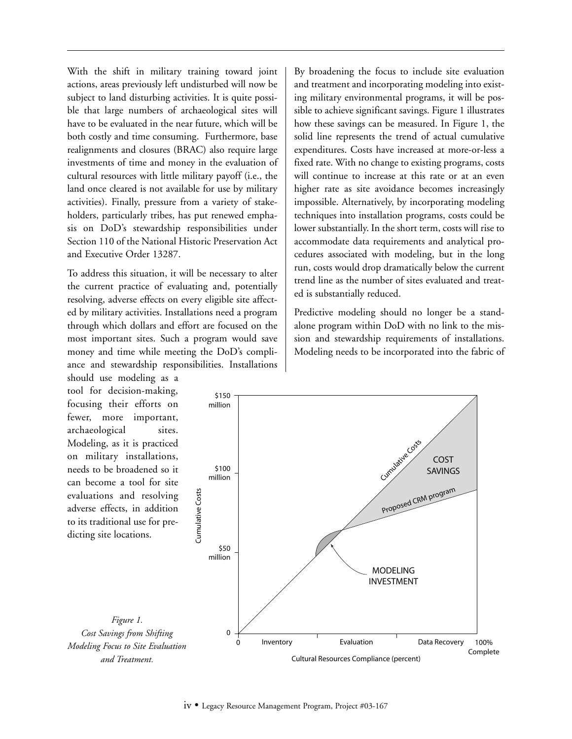With the shift in military training toward joint actions, areas previously left undisturbed will now be subject to land disturbing activities. It is quite possible that large numbers of archaeological sites will have to be evaluated in the near future, which will be both costly and time consuming. Furthermore, base realignments and closures (BRAC) also require large investments of time and money in the evaluation of cultural resources with little military payoff (i.e., the land once cleared is not available for use by military activities). Finally, pressure from a variety of stakeholders, particularly tribes, has put renewed emphasis on DoD's stewardship responsibilities under Section 110 of the National Historic Preservation Act and Executive Order 13287.

To address this situation, it will be necessary to alter the current practice of evaluating and, potentially resolving, adverse effects on every eligible site affected by military activities. Installations need a program through which dollars and effort are focused on the most important sites. Such a program would save money and time while meeting the DoD's compliance and stewardship responsibilities. Installations

should use modeling as a tool for decision-making, focusing their efforts on fewer, more important, archaeological sites. Modeling, as it is practiced on military installations, needs to be broadened so it can become a tool for site evaluations and resolving adverse effects, in addition to its traditional use for predicting site locations.

By broadening the focus to include site evaluation and treatment and incorporating modeling into existing military environmental programs, it will be possible to achieve significant savings. Figure 1 illustrates how these savings can be measured. In Figure 1, the solid line represents the trend of actual cumulative expenditures. Costs have increased at more-or-less a fixed rate. With no change to existing programs, costs will continue to increase at this rate or at an even higher rate as site avoidance becomes increasingly impossible. Alternatively, by incorporating modeling techniques into installation programs, costs could be lower substantially. In the short term, costs will rise to accommodate data requirements and analytical procedures associated with modeling, but in the long run, costs would drop dramatically below the current trend line as the number of sites evaluated and treated is substantially reduced.

Predictive modeling should no longer be a standalone program within DoD with no link to the mission and stewardship requirements of installations. Modeling needs to be incorporated into the fabric of

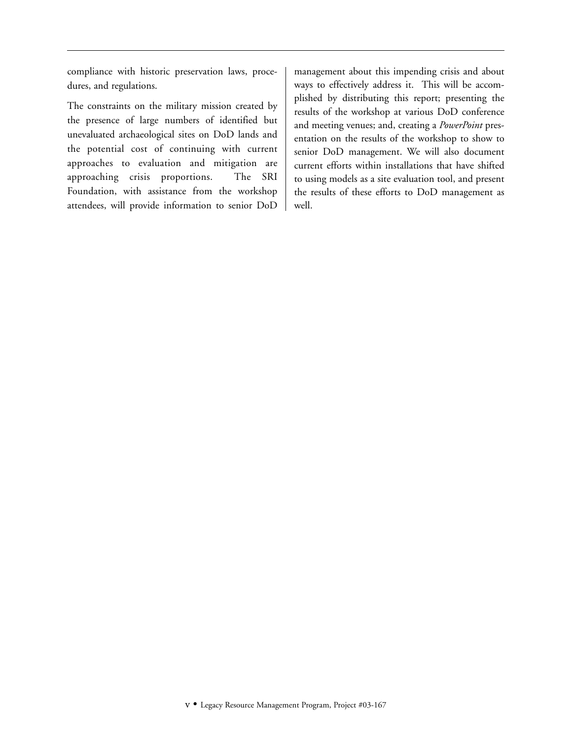compliance with historic preservation laws, procedures, and regulations.

The constraints on the military mission created by the presence of large numbers of identified but unevaluated archaeological sites on DoD lands and the potential cost of continuing with current approaches to evaluation and mitigation are approaching crisis proportions. The SRI Foundation, with assistance from the workshop attendees, will provide information to senior DoD management about this impending crisis and about ways to effectively address it. This will be accomplished by distributing this report; presenting the results of the workshop at various DoD conference and meeting venues; and, creating a *PowerPoint* presentation on the results of the workshop to show to senior DoD management. We will also document current efforts within installations that have shifted to using models as a site evaluation tool, and present the results of these efforts to DoD management as well.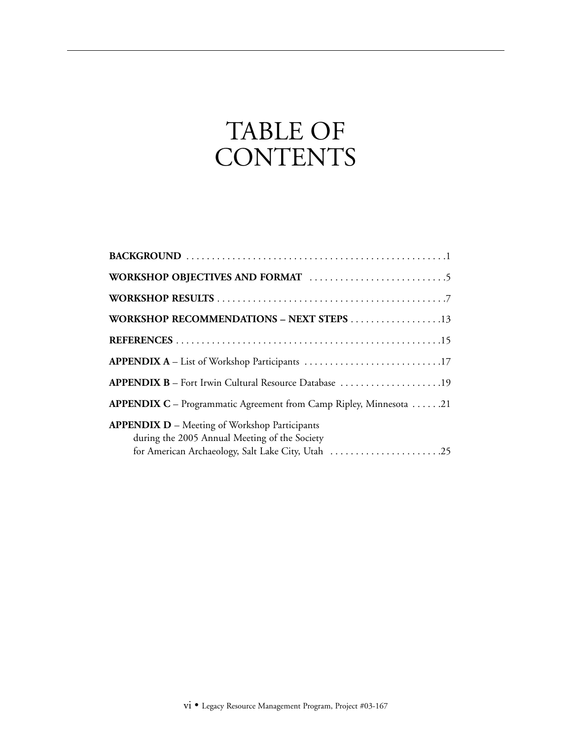## TABLE OF **CONTENTS**

| WORKSHOP RECOMMENDATIONS - NEXT STEPS 13                                                              |
|-------------------------------------------------------------------------------------------------------|
|                                                                                                       |
|                                                                                                       |
| <b>APPENDIX B</b> – Fort Irwin Cultural Resource Database 19                                          |
| APPENDIX C – Programmatic Agreement from Camp Ripley, Minnesota 21                                    |
| <b>APPENDIX D</b> – Meeting of Workshop Participants<br>during the 2005 Annual Meeting of the Society |
|                                                                                                       |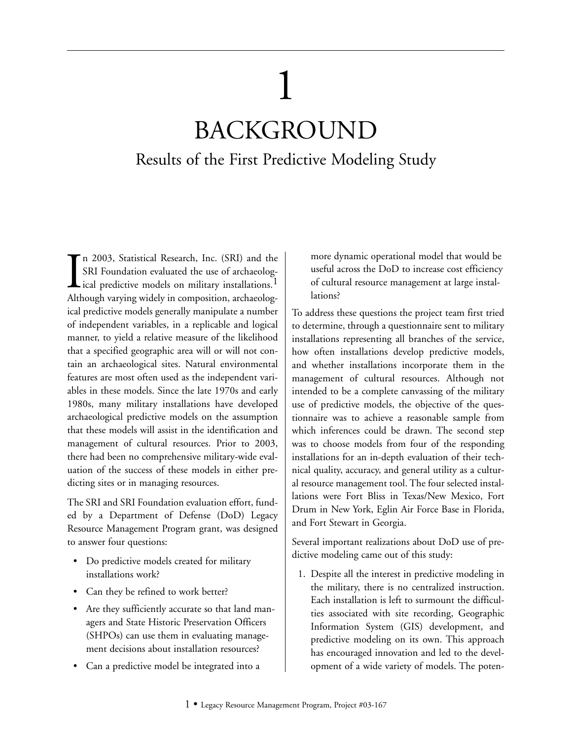# 1

## BACKGROUND Results of the First Predictive Modeling Study

I<br>Alth n 2003, Statistical Research, Inc. (SRI) and the SRI Foundation evaluated the use of archaeological predictive models on military installations.<sup>1</sup> Although varying widely in composition, archaeological predictive models generally manipulate a number of independent variables, in a replicable and logical manner, to yield a relative measure of the likelihood that a specified geographic area will or will not contain an archaeological sites. Natural environmental features are most often used as the independent variables in these models. Since the late 1970s and early 1980s, many military installations have developed archaeological predictive models on the assumption that these models will assist in the identification and management of cultural resources. Prior to 2003, there had been no comprehensive military-wide evaluation of the success of these models in either predicting sites or in managing resources.

The SRI and SRI Foundation evaluation effort, funded by a Department of Defense (DoD) Legacy Resource Management Program grant, was designed to answer four questions:

- Do predictive models created for military installations work?
- Can they be refined to work better?
- Are they sufficiently accurate so that land managers and State Historic Preservation Officers (SHPOs) can use them in evaluating management decisions about installation resources?
- Can a predictive model be integrated into a

more dynamic operational model that would be useful across the DoD to increase cost efficiency of cultural resource management at large installations?

To address these questions the project team first tried to determine, through a questionnaire sent to military installations representing all branches of the service, how often installations develop predictive models, and whether installations incorporate them in the management of cultural resources. Although not intended to be a complete canvassing of the military use of predictive models, the objective of the questionnaire was to achieve a reasonable sample from which inferences could be drawn. The second step was to choose models from four of the responding installations for an in-depth evaluation of their technical quality, accuracy, and general utility as a cultural resource management tool. The four selected installations were Fort Bliss in Texas/New Mexico, Fort Drum in New York, Eglin Air Force Base in Florida, and Fort Stewart in Georgia.

Several important realizations about DoD use of predictive modeling came out of this study:

1. Despite all the interest in predictive modeling in the military, there is no centralized instruction. Each installation is left to surmount the difficulties associated with site recording, Geographic Information System (GIS) development, and predictive modeling on its own. This approach has encouraged innovation and led to the development of a wide variety of models. The poten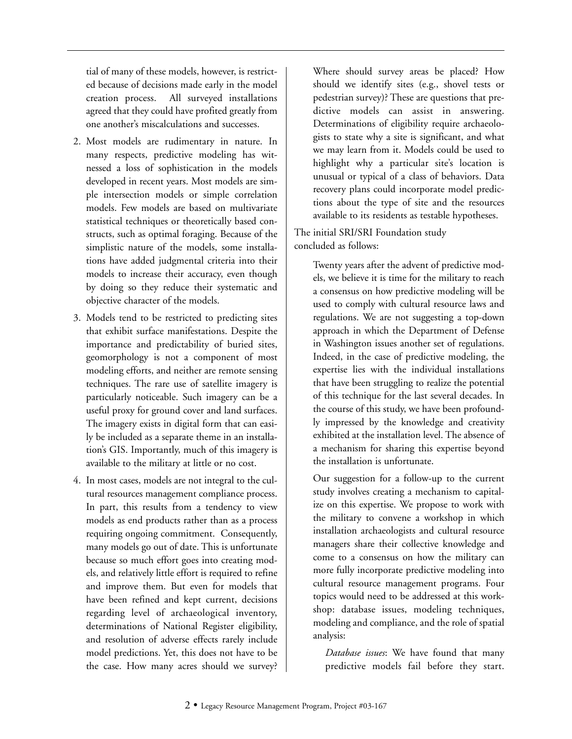tial of many of these models, however, is restricted because of decisions made early in the model creation process. All surveyed installations agreed that they could have profited greatly from one another's miscalculations and successes.

- 2. Most models are rudimentary in nature. In many respects, predictive modeling has witnessed a loss of sophistication in the models developed in recent years. Most models are simple intersection models or simple correlation models. Few models are based on multivariate statistical techniques or theoretically based constructs, such as optimal foraging. Because of the simplistic nature of the models, some installations have added judgmental criteria into their models to increase their accuracy, even though by doing so they reduce their systematic and objective character of the models.
- 3. Models tend to be restricted to predicting sites that exhibit surface manifestations. Despite the importance and predictability of buried sites, geomorphology is not a component of most modeling efforts, and neither are remote sensing techniques. The rare use of satellite imagery is particularly noticeable. Such imagery can be a useful proxy for ground cover and land surfaces. The imagery exists in digital form that can easily be included as a separate theme in an installation's GIS. Importantly, much of this imagery is available to the military at little or no cost.
- 4. In most cases, models are not integral to the cultural resources management compliance process. In part, this results from a tendency to view models as end products rather than as a process requiring ongoing commitment. Consequently, many models go out of date. This is unfortunate because so much effort goes into creating models, and relatively little effort is required to refine and improve them. But even for models that have been refined and kept current, decisions regarding level of archaeological inventory, determinations of National Register eligibility, and resolution of adverse effects rarely include model predictions. Yet, this does not have to be the case. How many acres should we survey?

Where should survey areas be placed? How should we identify sites (e.g., shovel tests or pedestrian survey)? These are questions that predictive models can assist in answering. Determinations of eligibility require archaeologists to state why a site is significant, and what we may learn from it. Models could be used to highlight why a particular site's location is unusual or typical of a class of behaviors. Data recovery plans could incorporate model predictions about the type of site and the resources available to its residents as testable hypotheses.

The initial SRI/SRI Foundation study concluded as follows:

> Twenty years after the advent of predictive models, we believe it is time for the military to reach a consensus on how predictive modeling will be used to comply with cultural resource laws and regulations. We are not suggesting a top-down approach in which the Department of Defense in Washington issues another set of regulations. Indeed, in the case of predictive modeling, the expertise lies with the individual installations that have been struggling to realize the potential of this technique for the last several decades. In the course of this study, we have been profoundly impressed by the knowledge and creativity exhibited at the installation level. The absence of a mechanism for sharing this expertise beyond the installation is unfortunate.

> Our suggestion for a follow-up to the current study involves creating a mechanism to capitalize on this expertise. We propose to work with the military to convene a workshop in which installation archaeologists and cultural resource managers share their collective knowledge and come to a consensus on how the military can more fully incorporate predictive modeling into cultural resource management programs. Four topics would need to be addressed at this workshop: database issues, modeling techniques, modeling and compliance, and the role of spatial analysis:

*Database issues*: We have found that many predictive models fail before they start.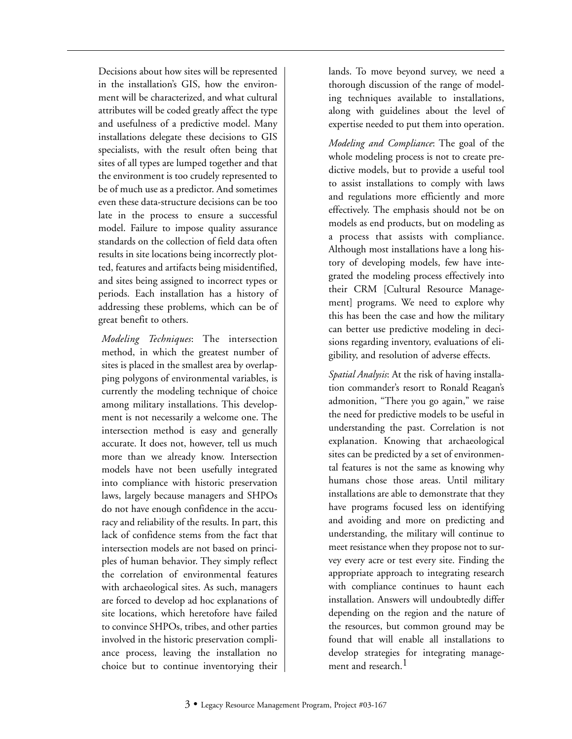Decisions about how sites will be represented in the installation's GIS, how the environment will be characterized, and what cultural attributes will be coded greatly affect the type and usefulness of a predictive model. Many installations delegate these decisions to GIS specialists, with the result often being that sites of all types are lumped together and that the environment is too crudely represented to be of much use as a predictor. And sometimes even these data-structure decisions can be too late in the process to ensure a successful model. Failure to impose quality assurance standards on the collection of field data often results in site locations being incorrectly plotted, features and artifacts being misidentified, and sites being assigned to incorrect types or periods. Each installation has a history of addressing these problems, which can be of great benefit to others.

*Modeling Techniques*: The intersection method, in which the greatest number of sites is placed in the smallest area by overlapping polygons of environmental variables, is currently the modeling technique of choice among military installations. This development is not necessarily a welcome one. The intersection method is easy and generally accurate. It does not, however, tell us much more than we already know. Intersection models have not been usefully integrated into compliance with historic preservation laws, largely because managers and SHPOs do not have enough confidence in the accuracy and reliability of the results. In part, this lack of confidence stems from the fact that intersection models are not based on principles of human behavior. They simply reflect the correlation of environmental features with archaeological sites. As such, managers are forced to develop ad hoc explanations of site locations, which heretofore have failed to convince SHPOs, tribes, and other parties involved in the historic preservation compliance process, leaving the installation no choice but to continue inventorying their lands. To move beyond survey, we need a thorough discussion of the range of modeling techniques available to installations, along with guidelines about the level of expertise needed to put them into operation.

*Modeling and Compliance*: The goal of the whole modeling process is not to create predictive models, but to provide a useful tool to assist installations to comply with laws and regulations more efficiently and more effectively. The emphasis should not be on models as end products, but on modeling as a process that assists with compliance. Although most installations have a long history of developing models, few have integrated the modeling process effectively into their CRM [Cultural Resource Management] programs. We need to explore why this has been the case and how the military can better use predictive modeling in decisions regarding inventory, evaluations of eligibility, and resolution of adverse effects.

*Spatial Analysis*: At the risk of having installation commander's resort to Ronald Reagan's admonition, "There you go again," we raise the need for predictive models to be useful in understanding the past. Correlation is not explanation. Knowing that archaeological sites can be predicted by a set of environmental features is not the same as knowing why humans chose those areas. Until military installations are able to demonstrate that they have programs focused less on identifying and avoiding and more on predicting and understanding, the military will continue to meet resistance when they propose not to survey every acre or test every site. Finding the appropriate approach to integrating research with compliance continues to haunt each installation. Answers will undoubtedly differ depending on the region and the nature of the resources, but common ground may be found that will enable all installations to develop strategies for integrating management and research.<sup>1</sup>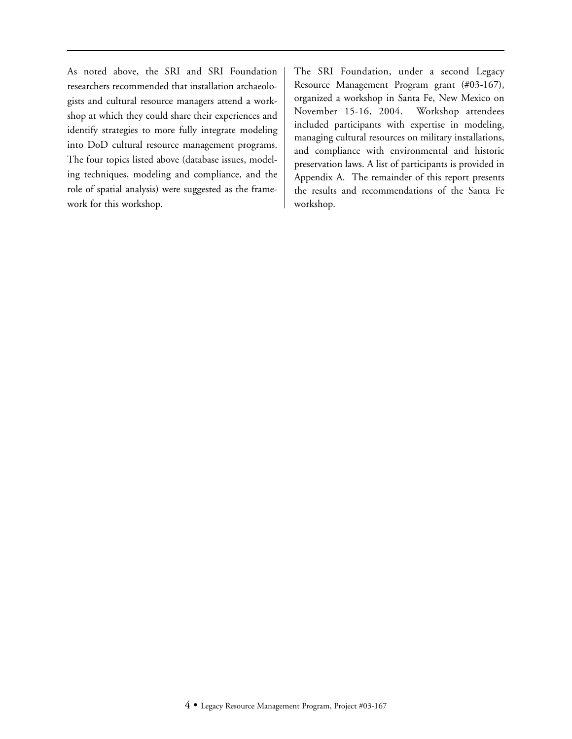As noted above, the SRI and SRI Foundation researchers recommended that installation archaeologists and cultural resource managers attend a workshop at which they could share their experiences and identify strategies to more fully integrate modeling into DoD cultural resource management programs. The four topics listed above (database issues, modeling techniques, modeling and compliance, and the role of spatial analysis) were suggested as the framework for this workshop.

The SRI Foundation, under a second Legacy Resource Management Program grant (#03-167), organized a workshop in Santa Fe, New Mexico on November 15-16, 2004. Workshop attendees included participants with expertise in modeling, managing cultural resources on military installations, and compliance with environmental and historic preservation laws. A list of participants is provided in Appendix A. The remainder of this report presents the results and recommendations of the Santa Fe workshop.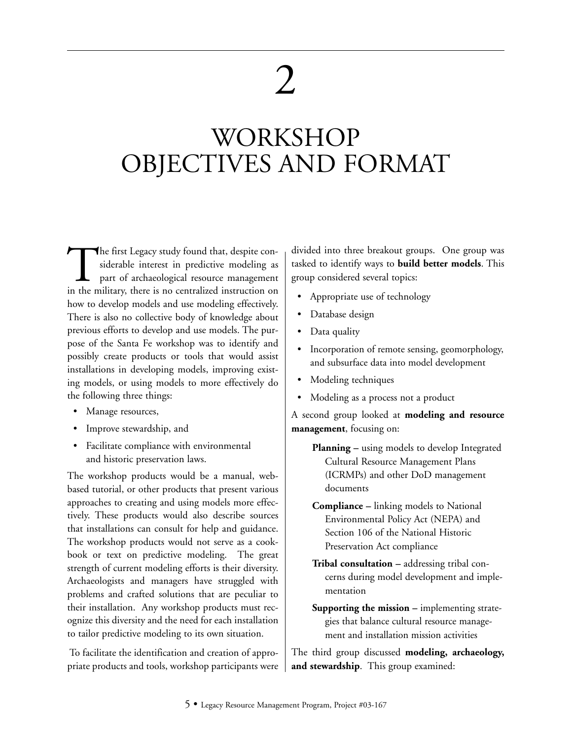# $\sum$

## WORKSHOP OBJECTIVES AND FORMAT

The first Legacy study found that, despite considerable interest in predictive modeling as part of archaeological resource management<br>in the military, there is no centralized instruction on siderable interest in predictive modeling as part of archaeological resource management in the military, there is no centralized instruction on how to develop models and use modeling effectively. There is also no collective body of knowledge about previous efforts to develop and use models. The purpose of the Santa Fe workshop was to identify and possibly create products or tools that would assist installations in developing models, improving existing models, or using models to more effectively do the following three things:

- Manage resources,
- Improve stewardship, and
- Facilitate compliance with environmental and historic preservation laws.

The workshop products would be a manual, webbased tutorial, or other products that present various approaches to creating and using models more effectively. These products would also describe sources that installations can consult for help and guidance. The workshop products would not serve as a cookbook or text on predictive modeling. The great strength of current modeling efforts is their diversity. Archaeologists and managers have struggled with problems and crafted solutions that are peculiar to their installation. Any workshop products must recognize this diversity and the need for each installation to tailor predictive modeling to its own situation.

To facilitate the identification and creation of appropriate products and tools, workshop participants were

divided into three breakout groups. One group was tasked to identify ways to **build better models**. This group considered several topics:

- Appropriate use of technology
- Database design
- Data quality
- Incorporation of remote sensing, geomorphology, and subsurface data into model development
- Modeling techniques
- Modeling as a process not a product

A second group looked at **modeling and resource management**, focusing on:

- **Planning** using models to develop Integrated Cultural Resource Management Plans (ICRMPs) and other DoD management documents
- **Compliance –** linking models to National Environmental Policy Act (NEPA) and Section 106 of the National Historic Preservation Act compliance
- **Tribal consultation –** addressing tribal concerns during model development and implementation
- **Supporting the mission –** implementing strategies that balance cultural resource management and installation mission activities

The third group discussed **modeling, archaeology, and stewardship**. This group examined: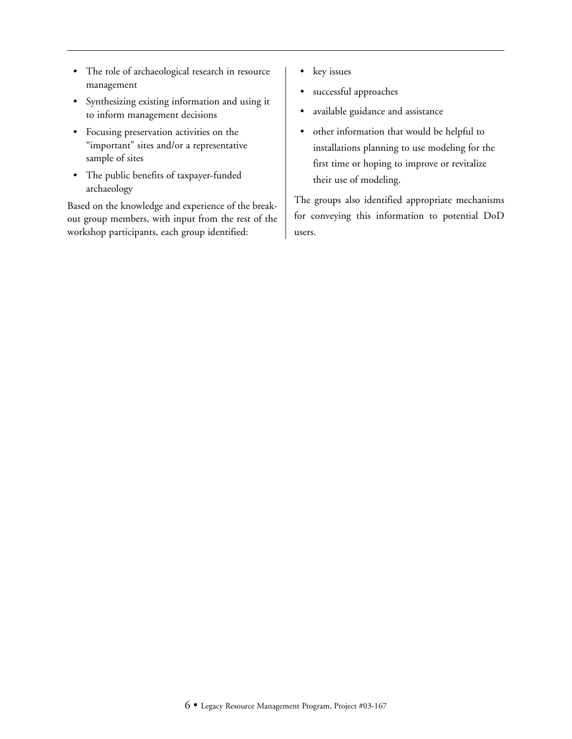- The role of archaeological research in resource management
- Synthesizing existing information and using it to inform management decisions
- Focusing preservation activities on the "important" sites and/or a representative sample of sites
- The public benefits of taxpayer-funded archaeology

Based on the knowledge and experience of the breakout group members, with input from the rest of the workshop participants, each group identified:

- key issues
- successful approaches
- available guidance and assistance
- other information that would be helpful to installations planning to use modeling for the first time or hoping to improve or revitalize their use of modeling.

The groups also identified appropriate mechanisms for conveying this information to potential DoD users.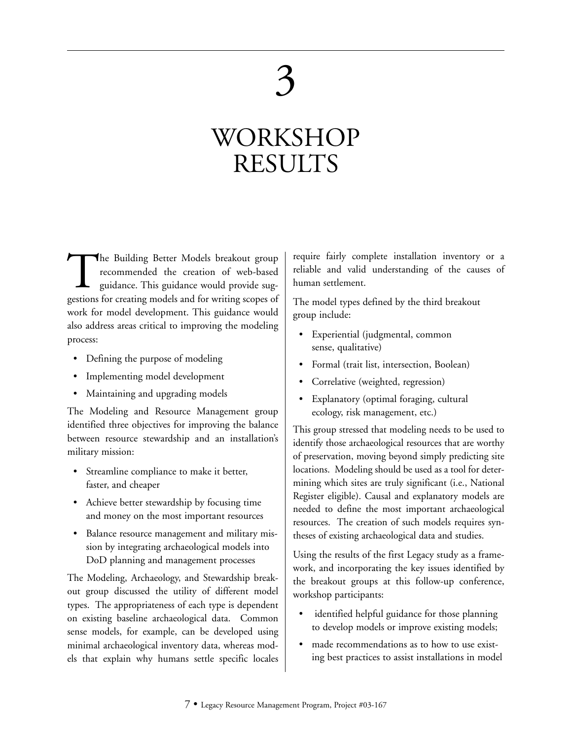# 3

## WORKSHOP RESULTS

The Building Better Models breakout group<br>recommended the creation of web-based<br>guidance. This guidance would provide sug-<br>gestions for creating models and for writing scopes of recommended the creation of web-based guidance. This guidance would provide suggestions for creating models and for writing scopes of work for model development. This guidance would also address areas critical to improving the modeling process:

- Defining the purpose of modeling
- Implementing model development
- Maintaining and upgrading models

The Modeling and Resource Management group identified three objectives for improving the balance between resource stewardship and an installation's military mission:

- Streamline compliance to make it better, faster, and cheaper
- Achieve better stewardship by focusing time and money on the most important resources
- Balance resource management and military mission by integrating archaeological models into DoD planning and management processes

The Modeling, Archaeology, and Stewardship breakout group discussed the utility of different model types. The appropriateness of each type is dependent on existing baseline archaeological data. Common sense models, for example, can be developed using minimal archaeological inventory data, whereas models that explain why humans settle specific locales

require fairly complete installation inventory or a reliable and valid understanding of the causes of human settlement.

The model types defined by the third breakout group include:

- Experiential (judgmental, common sense, qualitative)
- Formal (trait list, intersection, Boolean)
- Correlative (weighted, regression)
- Explanatory (optimal foraging, cultural ecology, risk management, etc.)

This group stressed that modeling needs to be used to identify those archaeological resources that are worthy of preservation, moving beyond simply predicting site locations. Modeling should be used as a tool for determining which sites are truly significant (i.e., National Register eligible). Causal and explanatory models are needed to define the most important archaeological resources. The creation of such models requires syntheses of existing archaeological data and studies.

Using the results of the first Legacy study as a framework, and incorporating the key issues identified by the breakout groups at this follow-up conference, workshop participants:

- identified helpful guidance for those planning to develop models or improve existing models;
- made recommendations as to how to use existing best practices to assist installations in model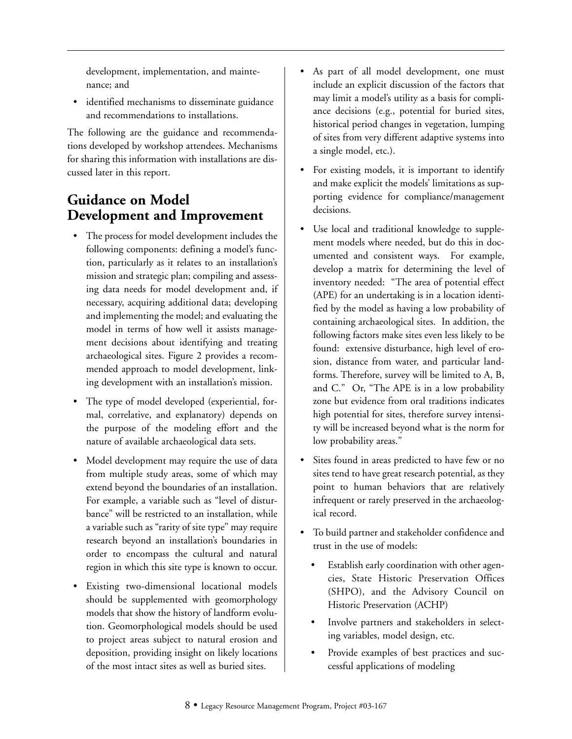development, implementation, and maintenance; and

• identified mechanisms to disseminate guidance and recommendations to installations.

The following are the guidance and recommendations developed by workshop attendees. Mechanisms for sharing this information with installations are discussed later in this report.

### **Guidance on Model Development and Improvement**

- The process for model development includes the following components: defining a model's function, particularly as it relates to an installation's mission and strategic plan; compiling and assessing data needs for model development and, if necessary, acquiring additional data; developing and implementing the model; and evaluating the model in terms of how well it assists management decisions about identifying and treating archaeological sites. Figure 2 provides a recommended approach to model development, linking development with an installation's mission.
- The type of model developed (experiential, formal, correlative, and explanatory) depends on the purpose of the modeling effort and the nature of available archaeological data sets.
- Model development may require the use of data from multiple study areas, some of which may extend beyond the boundaries of an installation. For example, a variable such as "level of disturbance" will be restricted to an installation, while a variable such as "rarity of site type" may require research beyond an installation's boundaries in order to encompass the cultural and natural region in which this site type is known to occur.
- Existing two-dimensional locational models should be supplemented with geomorphology models that show the history of landform evolution. Geomorphological models should be used to project areas subject to natural erosion and deposition, providing insight on likely locations of the most intact sites as well as buried sites.
- As part of all model development, one must include an explicit discussion of the factors that may limit a model's utility as a basis for compliance decisions (e.g., potential for buried sites, historical period changes in vegetation, lumping of sites from very different adaptive systems into a single model, etc.).
- For existing models, it is important to identify and make explicit the models' limitations as supporting evidence for compliance/management decisions.
- Use local and traditional knowledge to supplement models where needed, but do this in documented and consistent ways. For example, develop a matrix for determining the level of inventory needed: "The area of potential effect (APE) for an undertaking is in a location identified by the model as having a low probability of containing archaeological sites. In addition, the following factors make sites even less likely to be found: extensive disturbance, high level of erosion, distance from water, and particular landforms. Therefore, survey will be limited to A, B, and C." Or, "The APE is in a low probability zone but evidence from oral traditions indicates high potential for sites, therefore survey intensity will be increased beyond what is the norm for low probability areas."
- Sites found in areas predicted to have few or no sites tend to have great research potential, as they point to human behaviors that are relatively infrequent or rarely preserved in the archaeological record.
- To build partner and stakeholder confidence and trust in the use of models:
	- Establish early coordination with other agencies, State Historic Preservation Offices (SHPO), and the Advisory Council on Historic Preservation (ACHP)
	- Involve partners and stakeholders in selecting variables, model design, etc.
	- Provide examples of best practices and successful applications of modeling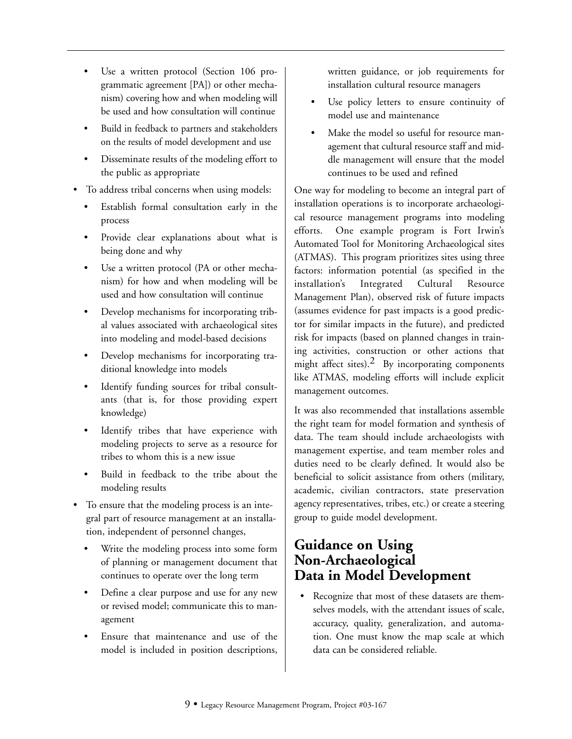- Use a written protocol (Section 106 programmatic agreement [PA]) or other mechanism) covering how and when modeling will be used and how consultation will continue
- Build in feedback to partners and stakeholders on the results of model development and use
- Disseminate results of the modeling effort to the public as appropriate
- To address tribal concerns when using models:
	- Establish formal consultation early in the process
	- Provide clear explanations about what is being done and why
	- Use a written protocol (PA or other mechanism) for how and when modeling will be used and how consultation will continue
	- Develop mechanisms for incorporating tribal values associated with archaeological sites into modeling and model-based decisions
	- Develop mechanisms for incorporating traditional knowledge into models
	- Identify funding sources for tribal consultants (that is, for those providing expert knowledge)
	- Identify tribes that have experience with modeling projects to serve as a resource for tribes to whom this is a new issue
	- Build in feedback to the tribe about the modeling results
- To ensure that the modeling process is an integral part of resource management at an installation, independent of personnel changes,
	- Write the modeling process into some form of planning or management document that continues to operate over the long term
	- Define a clear purpose and use for any new or revised model; communicate this to management
	- Ensure that maintenance and use of the model is included in position descriptions,

written guidance, or job requirements for installation cultural resource managers

- Use policy letters to ensure continuity of model use and maintenance
- Make the model so useful for resource management that cultural resource staff and middle management will ensure that the model continues to be used and refined

One way for modeling to become an integral part of installation operations is to incorporate archaeological resource management programs into modeling efforts. One example program is Fort Irwin's Automated Tool for Monitoring Archaeological sites (ATMAS). This program prioritizes sites using three factors: information potential (as specified in the installation's Integrated Cultural Resource Management Plan), observed risk of future impacts (assumes evidence for past impacts is a good predictor for similar impacts in the future), and predicted risk for impacts (based on planned changes in training activities, construction or other actions that might affect sites).<sup>2</sup> By incorporating components like ATMAS, modeling efforts will include explicit management outcomes.

It was also recommended that installations assemble the right team for model formation and synthesis of data. The team should include archaeologists with management expertise, and team member roles and duties need to be clearly defined. It would also be beneficial to solicit assistance from others (military, academic, civilian contractors, state preservation agency representatives, tribes, etc.) or create a steering group to guide model development.

### **Guidance on Using Non-Archaeological Data in Model Development**

• Recognize that most of these datasets are themselves models, with the attendant issues of scale, accuracy, quality, generalization, and automation. One must know the map scale at which data can be considered reliable.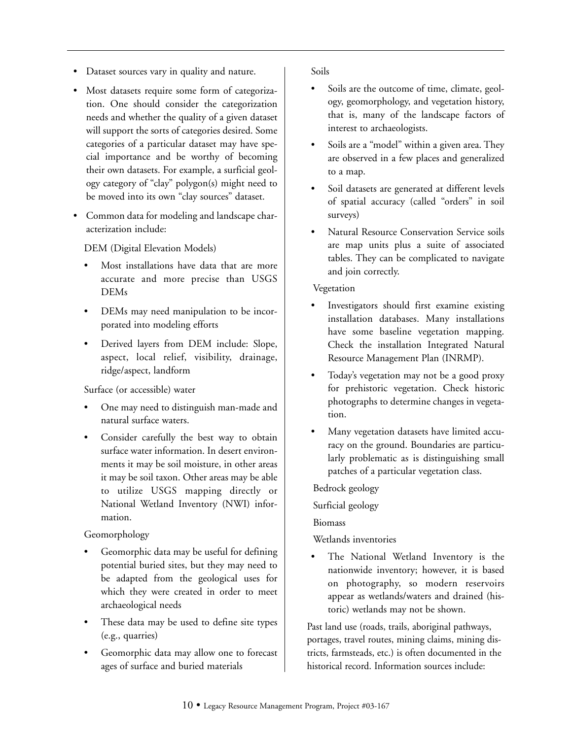- Dataset sources vary in quality and nature.
- Most datasets require some form of categorization. One should consider the categorization needs and whether the quality of a given dataset will support the sorts of categories desired. Some categories of a particular dataset may have special importance and be worthy of becoming their own datasets. For example, a surficial geology category of "clay" polygon(s) might need to be moved into its own "clay sources" dataset.
- Common data for modeling and landscape characterization include:

DEM (Digital Elevation Models)

- Most installations have data that are more accurate and more precise than USGS DEMs
- DEMs may need manipulation to be incorporated into modeling efforts
- Derived layers from DEM include: Slope, aspect, local relief, visibility, drainage, ridge/aspect, landform

Surface (or accessible) water

- One may need to distinguish man-made and natural surface waters.
- Consider carefully the best way to obtain surface water information. In desert environments it may be soil moisture, in other areas it may be soil taxon. Other areas may be able to utilize USGS mapping directly or National Wetland Inventory (NWI) information.

Geomorphology

- Geomorphic data may be useful for defining potential buried sites, but they may need to be adapted from the geological uses for which they were created in order to meet archaeological needs
- These data may be used to define site types (e.g., quarries)
- Geomorphic data may allow one to forecast ages of surface and buried materials

Soils

- Soils are the outcome of time, climate, geology, geomorphology, and vegetation history, that is, many of the landscape factors of interest to archaeologists.
- Soils are a "model" within a given area. They are observed in a few places and generalized to a map.
- Soil datasets are generated at different levels of spatial accuracy (called "orders" in soil surveys)
- Natural Resource Conservation Service soils are map units plus a suite of associated tables. They can be complicated to navigate and join correctly.

Vegetation

- Investigators should first examine existing installation databases. Many installations have some baseline vegetation mapping. Check the installation Integrated Natural Resource Management Plan (INRMP).
- Today's vegetation may not be a good proxy for prehistoric vegetation. Check historic photographs to determine changes in vegetation.
- Many vegetation datasets have limited accuracy on the ground. Boundaries are particularly problematic as is distinguishing small patches of a particular vegetation class.

Bedrock geology

Surficial geology

Biomass

Wetlands inventories

The National Wetland Inventory is the nationwide inventory; however, it is based on photography, so modern reservoirs appear as wetlands/waters and drained (historic) wetlands may not be shown.

Past land use (roads, trails, aboriginal pathways, portages, travel routes, mining claims, mining districts, farmsteads, etc.) is often documented in the historical record. Information sources include: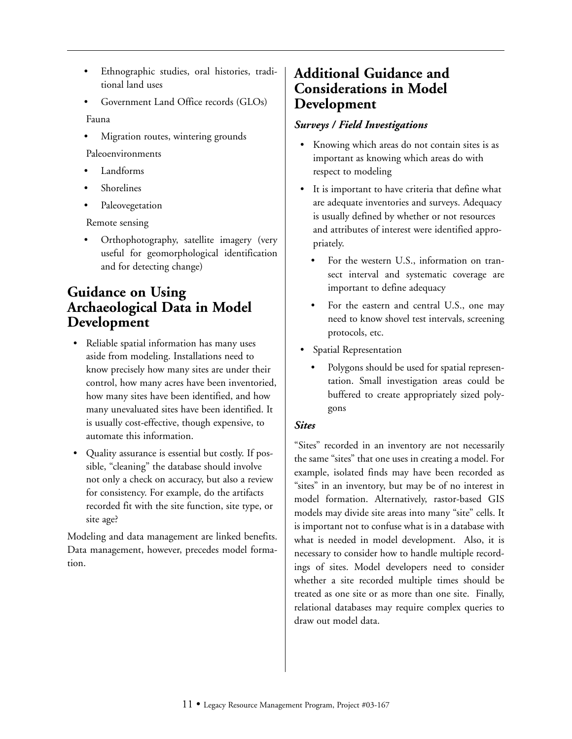- Ethnographic studies, oral histories, traditional land uses
- Government Land Office records (GLOs)

#### Fauna

• Migration routes, wintering grounds

Paleoenvironments

- Landforms
- **Shorelines**
- **Paleovegetation**

Remote sensing

• Orthophotography, satellite imagery (very useful for geomorphological identification and for detecting change)

### **Guidance on Using Archaeological Data in Model Development**

- Reliable spatial information has many uses aside from modeling. Installations need to know precisely how many sites are under their control, how many acres have been inventoried, how many sites have been identified, and how many unevaluated sites have been identified. It is usually cost-effective, though expensive, to automate this information.
- Quality assurance is essential but costly. If possible, "cleaning" the database should involve not only a check on accuracy, but also a review for consistency. For example, do the artifacts recorded fit with the site function, site type, or site age?

Modeling and data management are linked benefits. Data management, however, precedes model formation.

### **Additional Guidance and Considerations in Model Development**

### *Surveys / Field Investigations*

- Knowing which areas do not contain sites is as important as knowing which areas do with respect to modeling
- It is important to have criteria that define what are adequate inventories and surveys. Adequacy is usually defined by whether or not resources and attributes of interest were identified appropriately.
	- For the western U.S., information on transect interval and systematic coverage are important to define adequacy
	- For the eastern and central U.S., one may need to know shovel test intervals, screening protocols, etc.
- Spatial Representation
	- Polygons should be used for spatial representation. Small investigation areas could be buffered to create appropriately sized polygons

### *Sites*

"Sites" recorded in an inventory are not necessarily the same "sites" that one uses in creating a model. For example, isolated finds may have been recorded as "sites" in an inventory, but may be of no interest in model formation. Alternatively, rastor-based GIS models may divide site areas into many "site" cells. It is important not to confuse what is in a database with what is needed in model development. Also, it is necessary to consider how to handle multiple recordings of sites. Model developers need to consider whether a site recorded multiple times should be treated as one site or as more than one site. Finally, relational databases may require complex queries to draw out model data.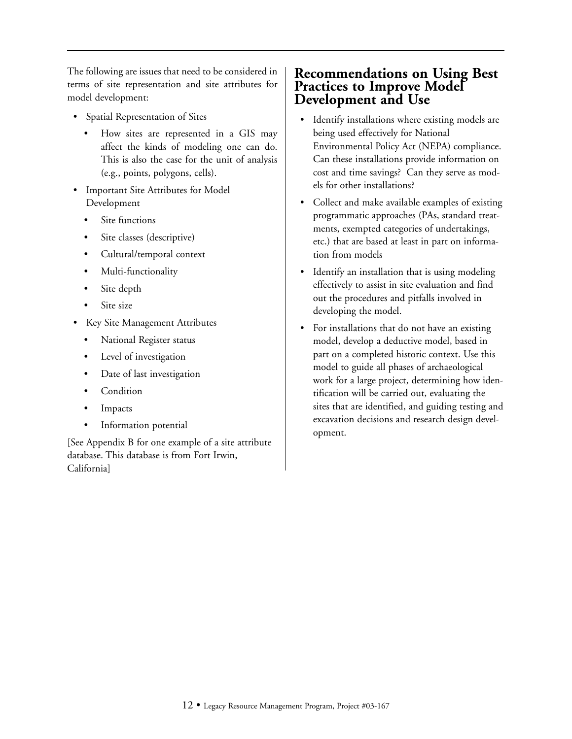The following are issues that need to be considered in terms of site representation and site attributes for model development:

- Spatial Representation of Sites
	- How sites are represented in a GIS may affect the kinds of modeling one can do. This is also the case for the unit of analysis (e.g., points, polygons, cells).
- Important Site Attributes for Model Development
	- Site functions
	- Site classes (descriptive)
	- Cultural/temporal context
	- Multi-functionality
	- Site depth
	- Site size
- Key Site Management Attributes
	- National Register status
	- Level of investigation
	- Date of last investigation
	- **Condition**
	- **Impacts**
	- Information potential

[See Appendix B for one example of a site attribute database. This database is from Fort Irwin, California]

### **Recommendations on Using Best Practices to Improve Model Development and Use**

- Identify installations where existing models are being used effectively for National Environmental Policy Act (NEPA) compliance. Can these installations provide information on cost and time savings? Can they serve as models for other installations?
- Collect and make available examples of existing programmatic approaches (PAs, standard treatments, exempted categories of undertakings, etc.) that are based at least in part on information from models
- Identify an installation that is using modeling effectively to assist in site evaluation and find out the procedures and pitfalls involved in developing the model.
- For installations that do not have an existing model, develop a deductive model, based in part on a completed historic context. Use this model to guide all phases of archaeological work for a large project, determining how identification will be carried out, evaluating the sites that are identified, and guiding testing and excavation decisions and research design development.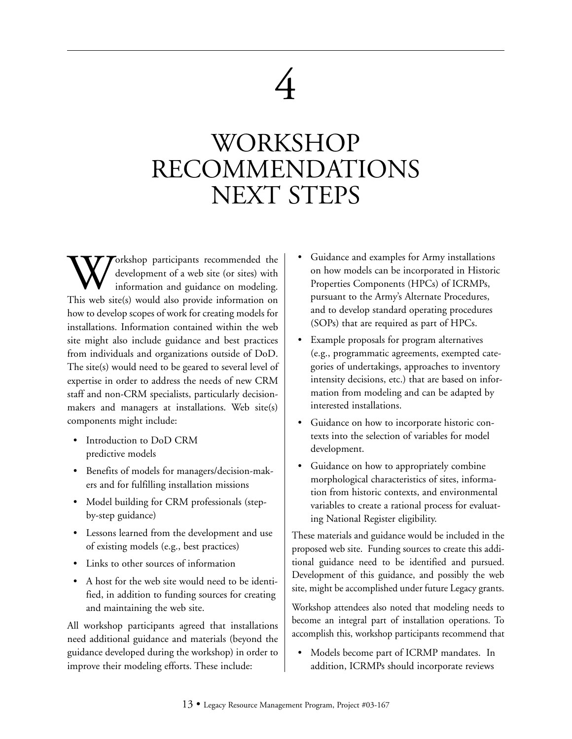# $\overline{4}$

### WORKSHOP RECOMMENDATIONS NEXT STEPS

Workshop participants recommended the<br>development of a web site (or sites) with<br>information and guidance on modeling.<br>This web site(s) would also provide information on development of a web site (or sites) with information and guidance on modeling. This web site(s) would also provide information on how to develop scopes of work for creating models for installations. Information contained within the web site might also include guidance and best practices from individuals and organizations outside of DoD. The site(s) would need to be geared to several level of expertise in order to address the needs of new CRM staff and non-CRM specialists, particularly decisionmakers and managers at installations. Web site(s) components might include:

- Introduction to DoD CRM predictive models
- Benefits of models for managers/decision-makers and for fulfilling installation missions
- Model building for CRM professionals (stepby-step guidance)
- Lessons learned from the development and use of existing models (e.g., best practices)
- Links to other sources of information
- A host for the web site would need to be identified, in addition to funding sources for creating and maintaining the web site.

All workshop participants agreed that installations need additional guidance and materials (beyond the guidance developed during the workshop) in order to improve their modeling efforts. These include:

- Guidance and examples for Army installations on how models can be incorporated in Historic Properties Components (HPCs) of ICRMPs, pursuant to the Army's Alternate Procedures, and to develop standard operating procedures (SOPs) that are required as part of HPCs.
- Example proposals for program alternatives (e.g., programmatic agreements, exempted categories of undertakings, approaches to inventory intensity decisions, etc.) that are based on information from modeling and can be adapted by interested installations.
- Guidance on how to incorporate historic contexts into the selection of variables for model development.
- Guidance on how to appropriately combine morphological characteristics of sites, information from historic contexts, and environmental variables to create a rational process for evaluating National Register eligibility.

These materials and guidance would be included in the proposed web site. Funding sources to create this additional guidance need to be identified and pursued. Development of this guidance, and possibly the web site, might be accomplished under future Legacy grants.

Workshop attendees also noted that modeling needs to become an integral part of installation operations. To accomplish this, workshop participants recommend that

• Models become part of ICRMP mandates. In addition, ICRMPs should incorporate reviews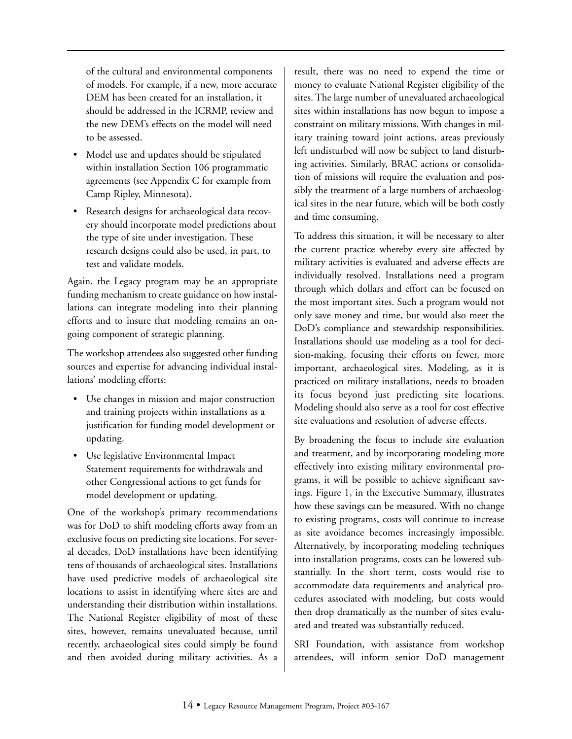of the cultural and environmental components of models. For example, if a new, more accurate DEM has been created for an installation, it should be addressed in the ICRMP, review and the new DEM's effects on the model will need to be assessed.

- Model use and updates should be stipulated within installation Section 106 programmatic agreements (see Appendix C for example from Camp Ripley, Minnesota).
- Research designs for archaeological data recovery should incorporate model predictions about the type of site under investigation. These research designs could also be used, in part, to test and validate models.

Again, the Legacy program may be an appropriate funding mechanism to create guidance on how installations can integrate modeling into their planning efforts and to insure that modeling remains an ongoing component of strategic planning.

The workshop attendees also suggested other funding sources and expertise for advancing individual installations' modeling efforts:

- Use changes in mission and major construction and training projects within installations as a justification for funding model development or updating.
- Use legislative Environmental Impact Statement requirements for withdrawals and other Congressional actions to get funds for model development or updating.

One of the workshop's primary recommendations was for DoD to shift modeling efforts away from an exclusive focus on predicting site locations. For several decades, DoD installations have been identifying tens of thousands of archaeological sites. Installations have used predictive models of archaeological site locations to assist in identifying where sites are and understanding their distribution within installations. The National Register eligibility of most of these sites, however, remains unevaluated because, until recently, archaeological sites could simply be found and then avoided during military activities. As a

result, there was no need to expend the time or money to evaluate National Register eligibility of the sites. The large number of unevaluated archaeological sites within installations has now begun to impose a constraint on military missions. With changes in military training toward joint actions, areas previously left undisturbed will now be subject to land disturbing activities. Similarly, BRAC actions or consolidation of missions will require the evaluation and possibly the treatment of a large numbers of archaeological sites in the near future, which will be both costly and time consuming.

To address this situation, it will be necessary to alter the current practice whereby every site affected by military activities is evaluated and adverse effects are individually resolved. Installations need a program through which dollars and effort can be focused on the most important sites. Such a program would not only save money and time, but would also meet the DoD's compliance and stewardship responsibilities. Installations should use modeling as a tool for decision-making, focusing their efforts on fewer, more important, archaeological sites. Modeling, as it is practiced on military installations, needs to broaden its focus beyond just predicting site locations. Modeling should also serve as a tool for cost effective site evaluations and resolution of adverse effects.

By broadening the focus to include site evaluation and treatment, and by incorporating modeling more effectively into existing military environmental programs, it will be possible to achieve significant savings. Figure 1, in the Executive Summary, illustrates how these savings can be measured. With no change to existing programs, costs will continue to increase as site avoidance becomes increasingly impossible. Alternatively, by incorporating modeling techniques into installation programs, costs can be lowered substantially. In the short term, costs would rise to accommodate data requirements and analytical procedures associated with modeling, but costs would then drop dramatically as the number of sites evaluated and treated was substantially reduced.

SRI Foundation, with assistance from workshop attendees, will inform senior DoD management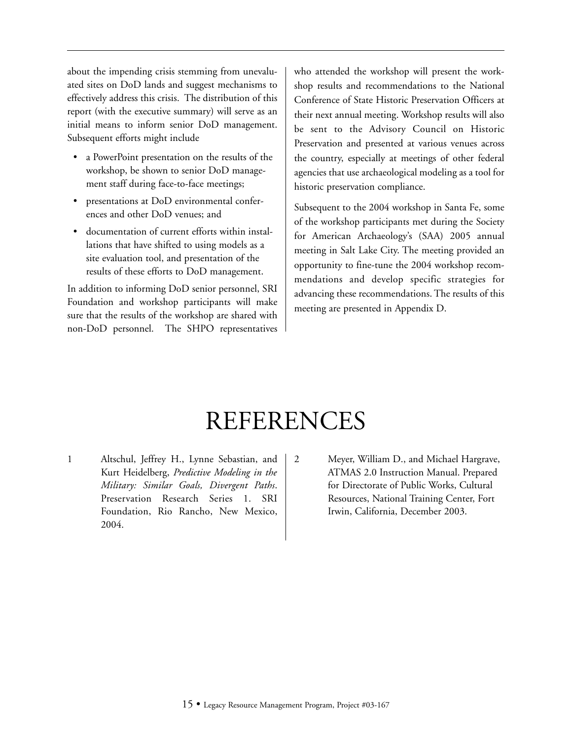about the impending crisis stemming from unevaluated sites on DoD lands and suggest mechanisms to effectively address this crisis. The distribution of this report (with the executive summary) will serve as an initial means to inform senior DoD management. Subsequent efforts might include

- a PowerPoint presentation on the results of the workshop, be shown to senior DoD management staff during face-to-face meetings;
- presentations at DoD environmental conferences and other DoD venues; and
- documentation of current efforts within installations that have shifted to using models as a site evaluation tool, and presentation of the results of these efforts to DoD management.

In addition to informing DoD senior personnel, SRI Foundation and workshop participants will make sure that the results of the workshop are shared with non-DoD personnel. The SHPO representatives who attended the workshop will present the workshop results and recommendations to the National Conference of State Historic Preservation Officers at their next annual meeting. Workshop results will also be sent to the Advisory Council on Historic Preservation and presented at various venues across the country, especially at meetings of other federal agencies that use archaeological modeling as a tool for historic preservation compliance.

Subsequent to the 2004 workshop in Santa Fe, some of the workshop participants met during the Society for American Archaeology's (SAA) 2005 annual meeting in Salt Lake City. The meeting provided an opportunity to fine-tune the 2004 workshop recommendations and develop specific strategies for advancing these recommendations. The results of this meeting are presented in Appendix D.

## REFERENCES

- 1 Altschul, Jeffrey H., Lynne Sebastian, and Kurt Heidelberg, *Predictive Modeling in the Military: Similar Goals, Divergent Paths*. Preservation Research Series 1. SRI Foundation, Rio Rancho, New Mexico, 2004.
- 2 Meyer, William D., and Michael Hargrave, ATMAS 2.0 Instruction Manual. Prepared for Directorate of Public Works, Cultural Resources, National Training Center, Fort Irwin, California, December 2003.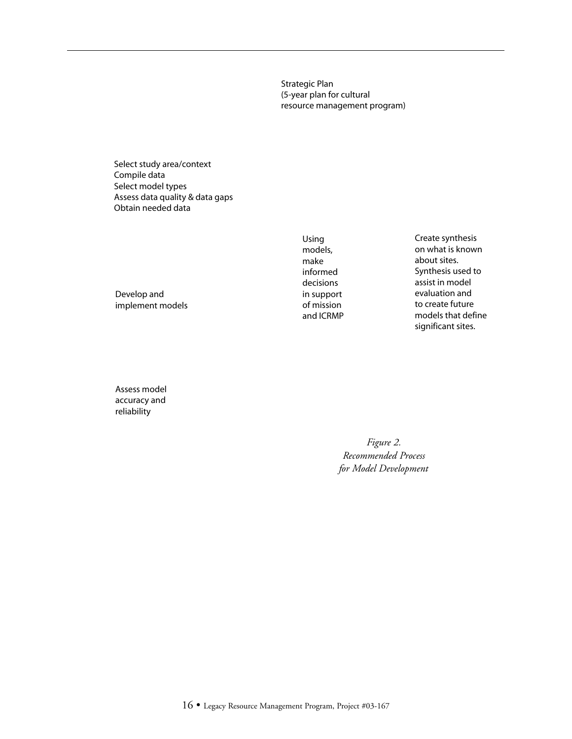Strategic Plan (5-year plan for cultural esource management program)

elect study area/context<br>iompile data<br>elect model types<br>ssess data quality & data<br>bbtain needed data Compile dat Select model types Assess data quality & data gaps Obtain needed data

Develop and mplement models

egic Pl<br>replar plar<br>rce m<br>make inforr<br>decisi<br>in sur<br>of mi:<br>and I( egic Plan<br>The plan for of the plan for the management<br>informed decisions<br>in support<br>of mission<br>and ICRMF Using models, make informed decisions in support of mission and ICRMP

Create synthesi on what is known about sites. Synthesis used to assist in model evaluation and to create future models that define significant sites.

Assess model accuracy and eliability

> *Figure 2. Recommended Process for Model Development*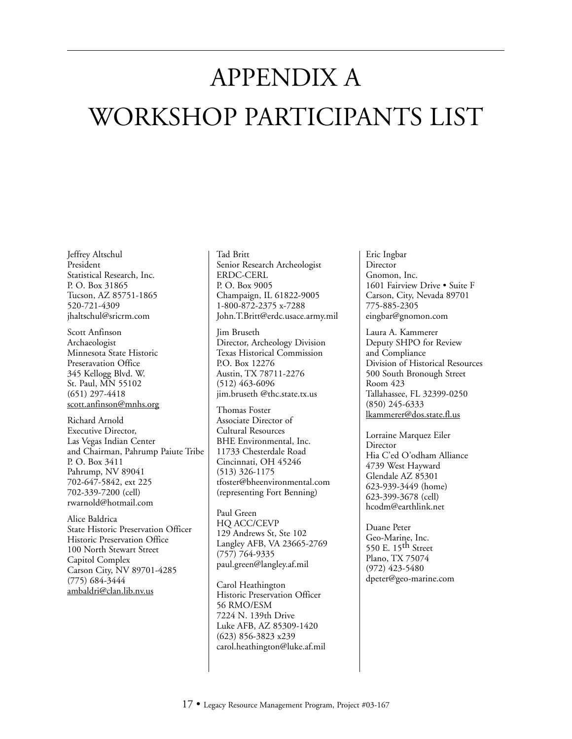# APPENDIX A WORKSHOP PARTICIPANTS LIST

Jeffrey Altschul President Statistical Research, Inc. P. O. Box 31865 Tucson, AZ 85751-1865 520-721-4309 jhaltschul@sricrm.com

Scott Anfinson Archaeologist Minnesota State Historic Preseravation Office 345 Kellogg Blvd. W. St. Paul, MN 55102 (651) 297-4418 scott.anfinson@mnhs.org

Richard Arnold Executive Director, Las Vegas Indian Center and Chairman, Pahrump Paiute Tribe P. O. Box 3411 Pahrump, NV 89041 702-647-5842, ext 225 702-339-7200 (cell) rwarnold@hotmail.com

Alice Baldrica State Historic Preservation Officer Historic Preservation Office 100 North Stewart Street Capitol Complex Carson City, NV 89701-4285 (775) 684-3444 ambaldri@clan.lib.nv.us

Tad Britt Senior Research Archeologist ERDC-CERL P. O. Box 9005 Champaign, IL 61822-9005 1-800-872-2375 x-7288 John.T.Britt@erdc.usace.army.mil

Jim Bruseth Director, Archeology Division Texas Historical Commission P.O. Box 12276 Austin, TX 78711-2276 (512) 463-6096 jim.bruseth @thc.state.tx.us

Thomas Foster Associate Director of Cultural Resources BHE Environmental, Inc. 11733 Chesterdale Road Cincinnati, OH 45246 (513) 326-1175 tfoster@bheenvironmental.com (representing Fort Benning)

Paul Green HQ ACC/CEVP 129 Andrews St, Ste 102 Langley AFB, VA 23665-2769 (757) 764-9335 paul.green@langley.af.mil

Carol Heathington Historic Preservation Officer 56 RMO/ESM 7224 N. 139th Drive Luke AFB, AZ 85309-1420 (623) 856-3823 x239 carol.heathington@luke.af.mil Eric Ingbar Director Gnomon, Inc. 1601 Fairview Drive • Suite F Carson, City, Nevada 89701 775-885-2305 eingbar@gnomon.com

Laura A. Kammerer Deputy SHPO for Review and Compliance Division of Historical Resources 500 South Bronough Street Room 423 Tallahassee, FL 32399-0250 (850) 245-6333 lkammerer@dos.state.fl.us

Lorraine Marquez Eiler Director Hia C'ed O'odham Alliance 4739 West Hayward Glendale AZ 85301 623-939-3449 (home) 623-399-3678 (cell) hcodm@earthlink.net

Duane Peter Geo-Marine, Inc. 550 E. 15<sup>th</sup> Street Plano, TX 75074 (972) 423-5480 dpeter@geo-marine.com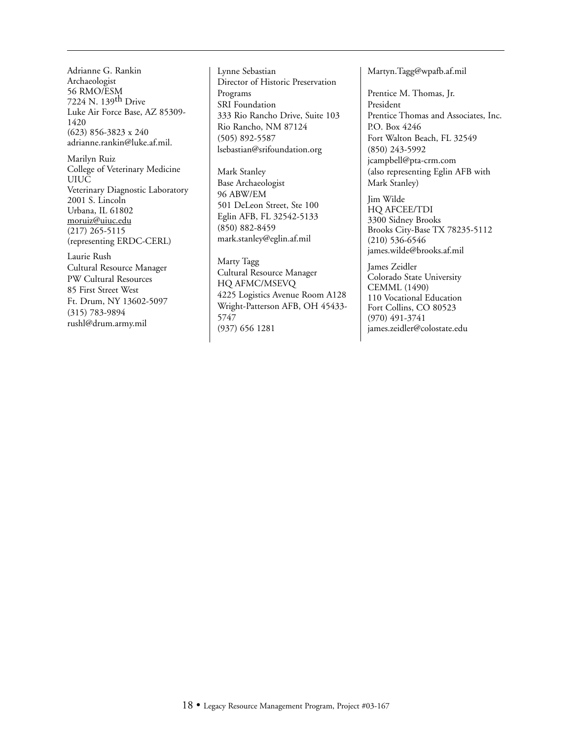Adrianne G. Rankin Archaeologist 56 RMO/ESM 7224 N. 139th Drive Luke Air Force Base, AZ 85309- 1420 (623) 856-3823 x 240 adrianne.rankin@luke.af.mil.

Marilyn Ruiz College of Veterinary Medicine UIUC Veterinary Diagnostic Laboratory 2001 S. Lincoln Urbana, IL 61802 moruiz@uiuc.edu (217) 265-5115 (representing ERDC-CERL)

Laurie Rush Cultural Resource Manager PW Cultural Resources 85 First Street West Ft. Drum, NY 13602-5097 (315) 783-9894 rushl@drum.army.mil

Lynne Sebastian Director of Historic Preservation Programs SRI Foundation 333 Rio Rancho Drive, Suite 103 Rio Rancho, NM 87124 (505) 892-5587 lsebastian@srifoundation.org

Mark Stanley Base Archaeologist 96 ABW/EM 501 DeLeon Street, Ste 100 Eglin AFB, FL 32542-5133 (850) 882-8459 mark.stanley@eglin.af.mil

Marty Tagg Cultural Resource Manager HQ AFMC/MSEVQ 4225 Logistics Avenue Room A128 Wright-Patterson AFB, OH 45433- 5747 (937) 656 1281

Martyn.Tagg@wpafb.af.mil

Prentice M. Thomas, Jr. President Prentice Thomas and Associates, Inc. P.O. Box 4246 Fort Walton Beach, FL 32549 (850) 243-5992 jcampbell@pta-crm.com (also representing Eglin AFB with Mark Stanley)

Jim Wilde HQ AFCEE/TDI 3300 Sidney Brooks Brooks City-Base TX 78235-5112 (210) 536-6546 james.wilde@brooks.af.mil

James Zeidler Colorado State University CEMML (1490) 110 Vocational Education Fort Collins, CO 80523 (970) 491-3741 james.zeidler@colostate.edu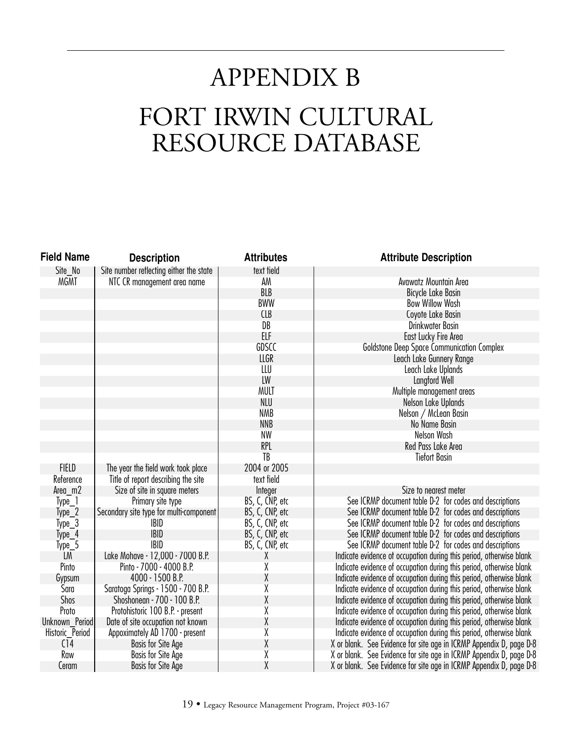## APPENDIX B FORT IRWIN CULTURAL RESOURCE DATABASE

| <b>Field Name</b>            | <b>Description</b>                      | <b>Attributes</b> | <b>Attribute Description</b>                                        |
|------------------------------|-----------------------------------------|-------------------|---------------------------------------------------------------------|
| Site No                      | Site number reflecting either the state | text field        |                                                                     |
| MGMT                         | NTC CR management area name             | AM                | Avawatz Mountain Area                                               |
|                              |                                         | BLB               | <b>Bicycle Lake Basin</b>                                           |
|                              |                                         | <b>BWW</b>        | <b>Bow Willow Wash</b>                                              |
|                              |                                         | <b>CLB</b>        | Coyote Lake Basin                                                   |
|                              |                                         | DB                | Drinkwater Basin                                                    |
|                              |                                         | ELF               | East Lucky Fire Area                                                |
|                              |                                         | GDSCC             | <b>Goldstone Deep Space Communication Complex</b>                   |
|                              |                                         | LLGR              | Leach Lake Gunnery Range                                            |
|                              |                                         | LLU               | Leach Lake Uplands                                                  |
|                              |                                         | LW                | Langford Well                                                       |
|                              |                                         | <b>MULT</b>       | Multiple management areas                                           |
|                              |                                         | NLU               | Nelson Lake Uplands                                                 |
|                              |                                         | <b>NMB</b>        | Nelson / McLean Basin                                               |
|                              |                                         | <b>NNB</b>        | No Name Basin                                                       |
|                              |                                         | <b>NW</b>         | Nelson Wash                                                         |
|                              |                                         | RPL               | Red Pass Lake Area                                                  |
|                              |                                         | <b>TB</b>         | <b>Tiefort Basin</b>                                                |
| FIELD                        | The year the field work took place      | 2004 or 2005      |                                                                     |
| Reference                    | Title of report describing the site     | text field        |                                                                     |
| Area_m2                      | Size of site in square meters           | Integer           | Size to nearest meter                                               |
| $Type_1$                     | Primary site type                       | BS, C, CNP, etc   | See ICRMP document table D-2 for codes and descriptions             |
| Type 2                       | Secondary site type for multi-component | BS, C, CNP, etc   | See ICRMP document table D-2 for codes and descriptions             |
| Type_3                       | <b>IBID</b>                             | BS, C, CNP, etc   | See ICRMP document table D-2 for codes and descriptions             |
| Type_4                       | <b>IBID</b>                             | BS, C, CNP, etc   | See ICRMP document table D-2 for codes and descriptions             |
| $Type_5$                     | <b>IBID</b>                             | BS, C, CNP, etc   | See ICRMP document table D-2 for codes and descriptions             |
| 'ім                          | Lake Mohave - 12,000 - 7000 B.P.        | χ                 | Indicate evidence of occupation during this period, otherwise blank |
| Pinto                        | Pinto - 7000 - 4000 B.P.                | X                 | Indicate evidence of occupation during this period, otherwise blank |
| Gypsum                       | 4000 - 1500 B.P.                        | χ                 | Indicate evidence of occupation during this period, otherwise blank |
| Sara                         | Saratoga Springs - 1500 - 700 B.P.      | χ                 | Indicate evidence of occupation during this period, otherwise blank |
| Shos                         | Shoshonean - 700 - 100 B.P.             | χ                 | Indicate evidence of occupation during this period, otherwise blank |
| Proto                        | Protohistoric 100 B.P. - present        | χ                 | Indicate evidence of occupation during this period, otherwise blank |
| Unknown_Period               | Date of site occupation not known       | χ                 | Indicate evidence of occupation during this period, otherwise blank |
| Historic Period              | Appoximately AD 1700 - present          | χ                 | Indicate evidence of occupation during this period, otherwise blank |
| $\overline{C}$ <sup>14</sup> | <b>Basis for Site Age</b>               | χ                 | X or blank. See Evidence for site age in ICRMP Appendix D, page D-8 |
| Raw                          | <b>Basis for Site Age</b>               | χ                 | X or blank. See Evidence for site age in ICRMP Appendix D, page D-8 |
| Ceram                        | <b>Basis for Site Age</b>               | X                 | X or blank. See Evidence for site age in ICRMP Appendix D, page D-8 |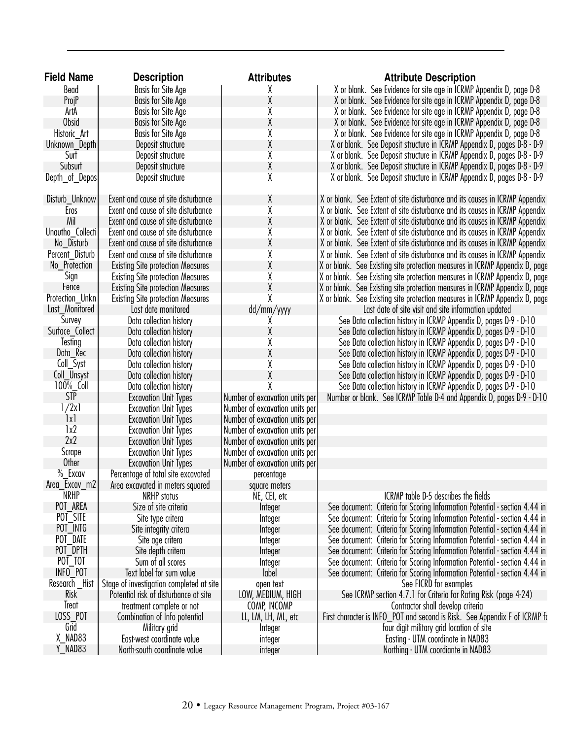| X or blank. See Evidence for site age in ICRMP Appendix D, page D-8<br><b>Basis for Site Age</b><br>χ<br>Bead<br>χ<br>ProjP<br><b>Basis for Site Age</b><br>X or blank. See Evidence for site age in ICRMP Appendix D, page D-8<br>χ<br>ArtA<br><b>Basis for Site Age</b><br>X or blank. See Evidence for site age in ICRMP Appendix D, page D-8<br>χ<br><b>Obsid</b><br>X or blank. See Evidence for site age in ICRMP Appendix D, page D-8<br><b>Basis for Site Age</b><br>X<br>Historic Art<br><b>Basis for Site Age</b><br>X or blank. See Evidence for site age in ICRMP Appendix D, page D-8<br>χ<br>X or blank. See Deposit structure in ICRMP Appendix D, pages D-8 - D-9<br>Unknown Depth<br>Deposit structure<br>X<br>Surf<br>X or blank. See Deposit structure in ICRMP Appendix D, pages D-8 - D-9<br>Deposit structure<br>χ<br>Subsurf<br>X or blank. See Deposit structure in ICRMP Appendix D, pages D-8 - D-9<br>Deposit structure<br>χ<br>Depth_of_Depos<br>Deposit structure<br>X or blank. See Deposit structure in ICRMP Appendix D, pages D-8 - D-9<br>Exent and cause of site disturbance<br>X or blank. See Extent of site disturbance and its causes in ICRMP Appendix<br>Disturb Unknow<br>χ<br>X<br>X or blank. See Extent of site disturbance and its causes in ICRMP Appendix<br>Exent and cause of site disturbance<br>Eros<br>Mil<br>χ<br>X or blank. See Extent of site disturbance and its causes in ICRMP Appendix<br>Exent and cause of site disturbance |  |
|--------------------------------------------------------------------------------------------------------------------------------------------------------------------------------------------------------------------------------------------------------------------------------------------------------------------------------------------------------------------------------------------------------------------------------------------------------------------------------------------------------------------------------------------------------------------------------------------------------------------------------------------------------------------------------------------------------------------------------------------------------------------------------------------------------------------------------------------------------------------------------------------------------------------------------------------------------------------------------------------------------------------------------------------------------------------------------------------------------------------------------------------------------------------------------------------------------------------------------------------------------------------------------------------------------------------------------------------------------------------------------------------------------------------------------------------------------------------------------------------|--|
|                                                                                                                                                                                                                                                                                                                                                                                                                                                                                                                                                                                                                                                                                                                                                                                                                                                                                                                                                                                                                                                                                                                                                                                                                                                                                                                                                                                                                                                                                            |  |
|                                                                                                                                                                                                                                                                                                                                                                                                                                                                                                                                                                                                                                                                                                                                                                                                                                                                                                                                                                                                                                                                                                                                                                                                                                                                                                                                                                                                                                                                                            |  |
|                                                                                                                                                                                                                                                                                                                                                                                                                                                                                                                                                                                                                                                                                                                                                                                                                                                                                                                                                                                                                                                                                                                                                                                                                                                                                                                                                                                                                                                                                            |  |
|                                                                                                                                                                                                                                                                                                                                                                                                                                                                                                                                                                                                                                                                                                                                                                                                                                                                                                                                                                                                                                                                                                                                                                                                                                                                                                                                                                                                                                                                                            |  |
|                                                                                                                                                                                                                                                                                                                                                                                                                                                                                                                                                                                                                                                                                                                                                                                                                                                                                                                                                                                                                                                                                                                                                                                                                                                                                                                                                                                                                                                                                            |  |
|                                                                                                                                                                                                                                                                                                                                                                                                                                                                                                                                                                                                                                                                                                                                                                                                                                                                                                                                                                                                                                                                                                                                                                                                                                                                                                                                                                                                                                                                                            |  |
|                                                                                                                                                                                                                                                                                                                                                                                                                                                                                                                                                                                                                                                                                                                                                                                                                                                                                                                                                                                                                                                                                                                                                                                                                                                                                                                                                                                                                                                                                            |  |
|                                                                                                                                                                                                                                                                                                                                                                                                                                                                                                                                                                                                                                                                                                                                                                                                                                                                                                                                                                                                                                                                                                                                                                                                                                                                                                                                                                                                                                                                                            |  |
|                                                                                                                                                                                                                                                                                                                                                                                                                                                                                                                                                                                                                                                                                                                                                                                                                                                                                                                                                                                                                                                                                                                                                                                                                                                                                                                                                                                                                                                                                            |  |
|                                                                                                                                                                                                                                                                                                                                                                                                                                                                                                                                                                                                                                                                                                                                                                                                                                                                                                                                                                                                                                                                                                                                                                                                                                                                                                                                                                                                                                                                                            |  |
|                                                                                                                                                                                                                                                                                                                                                                                                                                                                                                                                                                                                                                                                                                                                                                                                                                                                                                                                                                                                                                                                                                                                                                                                                                                                                                                                                                                                                                                                                            |  |
|                                                                                                                                                                                                                                                                                                                                                                                                                                                                                                                                                                                                                                                                                                                                                                                                                                                                                                                                                                                                                                                                                                                                                                                                                                                                                                                                                                                                                                                                                            |  |
|                                                                                                                                                                                                                                                                                                                                                                                                                                                                                                                                                                                                                                                                                                                                                                                                                                                                                                                                                                                                                                                                                                                                                                                                                                                                                                                                                                                                                                                                                            |  |
| Unautho Collecti<br>χ<br>Exent and cause of site disturbance<br>X or blank. See Extent of site disturbance and its causes in ICRMP Appendix                                                                                                                                                                                                                                                                                                                                                                                                                                                                                                                                                                                                                                                                                                                                                                                                                                                                                                                                                                                                                                                                                                                                                                                                                                                                                                                                                |  |
| χ<br>Exent and cause of site disturbance<br>X or blank. See Extent of site disturbance and its causes in ICRMP Appendix<br>No Disturb                                                                                                                                                                                                                                                                                                                                                                                                                                                                                                                                                                                                                                                                                                                                                                                                                                                                                                                                                                                                                                                                                                                                                                                                                                                                                                                                                      |  |
| χ<br>Percent Disturb<br>Exent and cause of site disturbance<br>X or blank. See Extent of site disturbance and its causes in ICRMP Appendix                                                                                                                                                                                                                                                                                                                                                                                                                                                                                                                                                                                                                                                                                                                                                                                                                                                                                                                                                                                                                                                                                                                                                                                                                                                                                                                                                 |  |
| χ<br>No Protection<br>X or blank. See Existing site protection measures in ICRMP Appendix D, page<br><b>Existing Site protection Measures</b>                                                                                                                                                                                                                                                                                                                                                                                                                                                                                                                                                                                                                                                                                                                                                                                                                                                                                                                                                                                                                                                                                                                                                                                                                                                                                                                                              |  |
| Sign<br>χ<br><b>Existing Site protection Measures</b><br>X or blank. See Existing site protection measures in ICRMP Appendix D, page                                                                                                                                                                                                                                                                                                                                                                                                                                                                                                                                                                                                                                                                                                                                                                                                                                                                                                                                                                                                                                                                                                                                                                                                                                                                                                                                                       |  |
| χ<br>Fence<br><b>Existing Site protection Measures</b><br>X or blank. See Existing site protection measures in ICRMP Appendix D, page                                                                                                                                                                                                                                                                                                                                                                                                                                                                                                                                                                                                                                                                                                                                                                                                                                                                                                                                                                                                                                                                                                                                                                                                                                                                                                                                                      |  |
| χ<br>Protection Unkn<br><b>Existing Site protection Measures</b><br>X or blank. See Existing site protection measures in ICRMP Appendix D, page                                                                                                                                                                                                                                                                                                                                                                                                                                                                                                                                                                                                                                                                                                                                                                                                                                                                                                                                                                                                                                                                                                                                                                                                                                                                                                                                            |  |
| Last Monitored<br>dd/mm/yyyy<br>Last date of site visit and site information updated<br>Last date monitored                                                                                                                                                                                                                                                                                                                                                                                                                                                                                                                                                                                                                                                                                                                                                                                                                                                                                                                                                                                                                                                                                                                                                                                                                                                                                                                                                                                |  |
| Survey<br>Data collection history                                                                                                                                                                                                                                                                                                                                                                                                                                                                                                                                                                                                                                                                                                                                                                                                                                                                                                                                                                                                                                                                                                                                                                                                                                                                                                                                                                                                                                                          |  |
| See Data collection history in ICRMP Appendix D, pages D-9 - D-10<br>Х<br>Surface Collect<br>Data collection history<br>See Data collection history in ICRMP Appendix D, pages D-9 - D-10                                                                                                                                                                                                                                                                                                                                                                                                                                                                                                                                                                                                                                                                                                                                                                                                                                                                                                                                                                                                                                                                                                                                                                                                                                                                                                  |  |
| χ<br>Testing<br>χ                                                                                                                                                                                                                                                                                                                                                                                                                                                                                                                                                                                                                                                                                                                                                                                                                                                                                                                                                                                                                                                                                                                                                                                                                                                                                                                                                                                                                                                                          |  |
| Data collection history<br>See Data collection history in ICRMP Appendix D, pages D-9 - D-10                                                                                                                                                                                                                                                                                                                                                                                                                                                                                                                                                                                                                                                                                                                                                                                                                                                                                                                                                                                                                                                                                                                                                                                                                                                                                                                                                                                               |  |
| Data Rec<br>X<br>Data collection history<br>See Data collection history in ICRMP Appendix D, pages D-9 - D-10                                                                                                                                                                                                                                                                                                                                                                                                                                                                                                                                                                                                                                                                                                                                                                                                                                                                                                                                                                                                                                                                                                                                                                                                                                                                                                                                                                              |  |
| Coll_Syst<br>χ<br>Data collection history<br>See Data collection history in ICRMP Appendix D, pages D-9 - D-10                                                                                                                                                                                                                                                                                                                                                                                                                                                                                                                                                                                                                                                                                                                                                                                                                                                                                                                                                                                                                                                                                                                                                                                                                                                                                                                                                                             |  |
| Coll_Unsyst<br>χ<br>Data collection history<br>See Data collection history in ICRMP Appendix D, pages D-9 - D-10                                                                                                                                                                                                                                                                                                                                                                                                                                                                                                                                                                                                                                                                                                                                                                                                                                                                                                                                                                                                                                                                                                                                                                                                                                                                                                                                                                           |  |
| 100% Coll<br>Data collection history<br>See Data collection history in ICRMP Appendix D, pages D-9 - D-10                                                                                                                                                                                                                                                                                                                                                                                                                                                                                                                                                                                                                                                                                                                                                                                                                                                                                                                                                                                                                                                                                                                                                                                                                                                                                                                                                                                  |  |
| <b>STP</b><br><b>Excavation Unit Types</b><br>Number of excavation units per<br>Number or blank. See ICRMP Table D-4 and Appendix D, pages D-9 - D-10                                                                                                                                                                                                                                                                                                                                                                                                                                                                                                                                                                                                                                                                                                                                                                                                                                                                                                                                                                                                                                                                                                                                                                                                                                                                                                                                      |  |
| 1/2x1<br>Number of excavation units per<br><b>Excavation Unit Types</b>                                                                                                                                                                                                                                                                                                                                                                                                                                                                                                                                                                                                                                                                                                                                                                                                                                                                                                                                                                                                                                                                                                                                                                                                                                                                                                                                                                                                                    |  |
| $\lfloor x \rfloor$<br><b>Excavation Unit Types</b><br>Number of excavation units per                                                                                                                                                                                                                                                                                                                                                                                                                                                                                                                                                                                                                                                                                                                                                                                                                                                                                                                                                                                                                                                                                                                                                                                                                                                                                                                                                                                                      |  |
| 1x2<br><b>Excavation Unit Types</b><br>Number of excavation units per                                                                                                                                                                                                                                                                                                                                                                                                                                                                                                                                                                                                                                                                                                                                                                                                                                                                                                                                                                                                                                                                                                                                                                                                                                                                                                                                                                                                                      |  |
| 2x2<br>Number of excavation units per<br><b>Excavation Unit Types</b>                                                                                                                                                                                                                                                                                                                                                                                                                                                                                                                                                                                                                                                                                                                                                                                                                                                                                                                                                                                                                                                                                                                                                                                                                                                                                                                                                                                                                      |  |
| Scrape<br><b>Excavation Unit Types</b><br>Number of excavation units per                                                                                                                                                                                                                                                                                                                                                                                                                                                                                                                                                                                                                                                                                                                                                                                                                                                                                                                                                                                                                                                                                                                                                                                                                                                                                                                                                                                                                   |  |
| Other<br><b>Excavation Unit Types</b><br>Number of excavation units per                                                                                                                                                                                                                                                                                                                                                                                                                                                                                                                                                                                                                                                                                                                                                                                                                                                                                                                                                                                                                                                                                                                                                                                                                                                                                                                                                                                                                    |  |
| % Excav<br>Percentage of total site excavated<br>percentage                                                                                                                                                                                                                                                                                                                                                                                                                                                                                                                                                                                                                                                                                                                                                                                                                                                                                                                                                                                                                                                                                                                                                                                                                                                                                                                                                                                                                                |  |
| Area_Excav_m2<br>Area excavated in meters squared<br>square meters                                                                                                                                                                                                                                                                                                                                                                                                                                                                                                                                                                                                                                                                                                                                                                                                                                                                                                                                                                                                                                                                                                                                                                                                                                                                                                                                                                                                                         |  |
| <b>NRHP</b><br><b>NRHP</b> status<br>ICRMP table D-5 describes the fields<br>NE, CEI, etc                                                                                                                                                                                                                                                                                                                                                                                                                                                                                                                                                                                                                                                                                                                                                                                                                                                                                                                                                                                                                                                                                                                                                                                                                                                                                                                                                                                                  |  |
| POT AREA<br>Size of site criteria<br>See document: Criteria for Scoring Information Potential - section 4.44 in<br>Integer                                                                                                                                                                                                                                                                                                                                                                                                                                                                                                                                                                                                                                                                                                                                                                                                                                                                                                                                                                                                                                                                                                                                                                                                                                                                                                                                                                 |  |
| POT SITE<br>See document: Criteria for Scoring Information Potential - section 4.44 in<br>Site type critera<br>Integer                                                                                                                                                                                                                                                                                                                                                                                                                                                                                                                                                                                                                                                                                                                                                                                                                                                                                                                                                                                                                                                                                                                                                                                                                                                                                                                                                                     |  |
| POT INTG<br>See document: Criteria for Scoring Information Potential - section 4.44 in<br>Site integrity critera<br>Integer                                                                                                                                                                                                                                                                                                                                                                                                                                                                                                                                                                                                                                                                                                                                                                                                                                                                                                                                                                                                                                                                                                                                                                                                                                                                                                                                                                |  |
| POT DATE<br>See document: Criteria for Scoring Information Potential - section 4.44 in<br>Site age critera<br>Integer                                                                                                                                                                                                                                                                                                                                                                                                                                                                                                                                                                                                                                                                                                                                                                                                                                                                                                                                                                                                                                                                                                                                                                                                                                                                                                                                                                      |  |
| POT DPTH<br>Site depth critera<br>See document: Criteria for Scoring Information Potential - section 4.44 in<br>Integer                                                                                                                                                                                                                                                                                                                                                                                                                                                                                                                                                                                                                                                                                                                                                                                                                                                                                                                                                                                                                                                                                                                                                                                                                                                                                                                                                                    |  |
| POT TOT<br>Sum of all scores<br>See document: Criteria for Scoring Information Potential - section 4.44 in<br>Integer                                                                                                                                                                                                                                                                                                                                                                                                                                                                                                                                                                                                                                                                                                                                                                                                                                                                                                                                                                                                                                                                                                                                                                                                                                                                                                                                                                      |  |
| INFO POT<br>Text label for sum value<br>label<br>See document: Criteria for Scoring Information Potential - section 4.44 in                                                                                                                                                                                                                                                                                                                                                                                                                                                                                                                                                                                                                                                                                                                                                                                                                                                                                                                                                                                                                                                                                                                                                                                                                                                                                                                                                                |  |
| Research Hist<br>Stage of investigation completed at site<br>See FICRD for examples<br>open text                                                                                                                                                                                                                                                                                                                                                                                                                                                                                                                                                                                                                                                                                                                                                                                                                                                                                                                                                                                                                                                                                                                                                                                                                                                                                                                                                                                           |  |
| Risk<br>Potential risk of disturbance at site<br>See ICRMP section 4.7.1 for Criteria for Rating Risk (page 4-24)<br>LOW, MEDIUM, HIGH                                                                                                                                                                                                                                                                                                                                                                                                                                                                                                                                                                                                                                                                                                                                                                                                                                                                                                                                                                                                                                                                                                                                                                                                                                                                                                                                                     |  |
| Treat<br>treatment complete or not<br>COMP, INCOMP<br>Contractor shall develop criteria                                                                                                                                                                                                                                                                                                                                                                                                                                                                                                                                                                                                                                                                                                                                                                                                                                                                                                                                                                                                                                                                                                                                                                                                                                                                                                                                                                                                    |  |
| LOSS POT<br>Combination of Info potential<br>First character is INFO_POT and second is Risk. See Appendix F of ICRMP for<br>LL, LM, LH, ML, etc                                                                                                                                                                                                                                                                                                                                                                                                                                                                                                                                                                                                                                                                                                                                                                                                                                                                                                                                                                                                                                                                                                                                                                                                                                                                                                                                            |  |
| Grid<br>Military grid<br>four digit military grid location of site<br>Integer                                                                                                                                                                                                                                                                                                                                                                                                                                                                                                                                                                                                                                                                                                                                                                                                                                                                                                                                                                                                                                                                                                                                                                                                                                                                                                                                                                                                              |  |
| X NAD83<br>East-west coordinate value<br>Easting - UTM coordinate in NAD83<br>integer                                                                                                                                                                                                                                                                                                                                                                                                                                                                                                                                                                                                                                                                                                                                                                                                                                                                                                                                                                                                                                                                                                                                                                                                                                                                                                                                                                                                      |  |
| Y NAD83<br>North-south coordinate value<br>Northing - UTM coordiante in NAD83<br>integer                                                                                                                                                                                                                                                                                                                                                                                                                                                                                                                                                                                                                                                                                                                                                                                                                                                                                                                                                                                                                                                                                                                                                                                                                                                                                                                                                                                                   |  |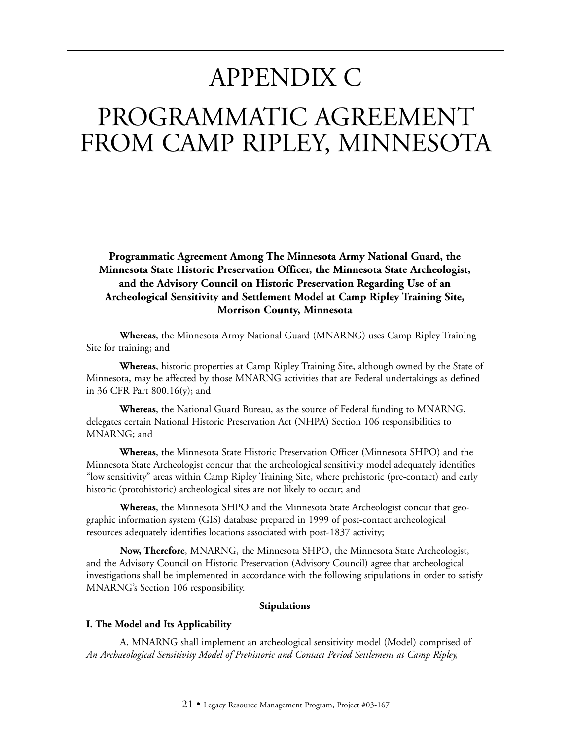## APPENDIX C

### PROGRAMMATIC AGREEMENT FROM CAMP RIPLEY, MINNESOTA

**Programmatic Agreement Among The Minnesota Army National Guard, the Minnesota State Historic Preservation Officer, the Minnesota State Archeologist, and the Advisory Council on Historic Preservation Regarding Use of an Archeological Sensitivity and Settlement Model at Camp Ripley Training Site, Morrison County, Minnesota**

**Whereas**, the Minnesota Army National Guard (MNARNG) uses Camp Ripley Training Site for training; and

**Whereas**, historic properties at Camp Ripley Training Site, although owned by the State of Minnesota, may be affected by those MNARNG activities that are Federal undertakings as defined in 36 CFR Part 800.16(y); and

**Whereas**, the National Guard Bureau, as the source of Federal funding to MNARNG, delegates certain National Historic Preservation Act (NHPA) Section 106 responsibilities to MNARNG; and

**Whereas**, the Minnesota State Historic Preservation Officer (Minnesota SHPO) and the Minnesota State Archeologist concur that the archeological sensitivity model adequately identifies "low sensitivity" areas within Camp Ripley Training Site, where prehistoric (pre-contact) and early historic (protohistoric) archeological sites are not likely to occur; and

**Whereas**, the Minnesota SHPO and the Minnesota State Archeologist concur that geographic information system (GIS) database prepared in 1999 of post-contact archeological resources adequately identifies locations associated with post-1837 activity;

**Now, Therefore**, MNARNG, the Minnesota SHPO, the Minnesota State Archeologist, and the Advisory Council on Historic Preservation (Advisory Council) agree that archeological investigations shall be implemented in accordance with the following stipulations in order to satisfy MNARNG's Section 106 responsibility.

#### **Stipulations**

#### **I. The Model and Its Applicability**

A. MNARNG shall implement an archeological sensitivity model (Model) comprised of *An Archaeological Sensitivity Model of Prehistoric and Contact Period Settlement at Camp Ripley,*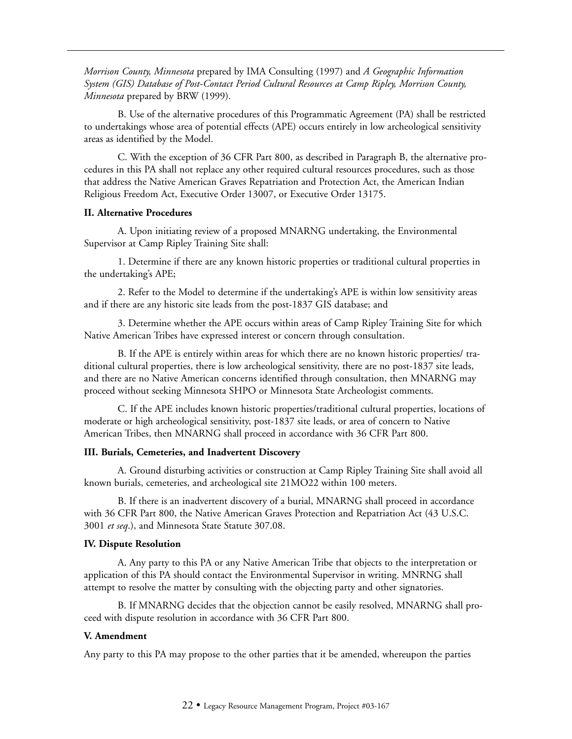*Morrison County, Minnesota* prepared by IMA Consulting (1997) and *A Geographic Information System (GIS) Database of Post-Contact Period Cultural Resources at Camp Ripley, Morrison County, Minnesota* prepared by BRW (1999).

B. Use of the alternative procedures of this Programmatic Agreement (PA) shall be restricted to undertakings whose area of potential effects (APE) occurs entirely in low archeological sensitivity areas as identified by the Model.

C. With the exception of 36 CFR Part 800, as described in Paragraph B, the alternative procedures in this PA shall not replace any other required cultural resources procedures, such as those that address the Native American Graves Repatriation and Protection Act, the American Indian Religious Freedom Act, Executive Order 13007, or Executive Order 13175.

#### **II. Alternative Procedures**

A. Upon initiating review of a proposed MNARNG undertaking, the Environmental Supervisor at Camp Ripley Training Site shall:

1. Determine if there are any known historic properties or traditional cultural properties in the undertaking's APE;

2. Refer to the Model to determine if the undertaking's APE is within low sensitivity areas and if there are any historic site leads from the post-1837 GIS database; and

3. Determine whether the APE occurs within areas of Camp Ripley Training Site for which Native American Tribes have expressed interest or concern through consultation.

B. If the APE is entirely within areas for which there are no known historic properties/ traditional cultural properties, there is low archeological sensitivity, there are no post-1837 site leads, and there are no Native American concerns identified through consultation, then MNARNG may proceed without seeking Minnesota SHPO or Minnesota State Archeologist comments.

C. If the APE includes known historic properties/traditional cultural properties, locations of moderate or high archeological sensitivity, post-1837 site leads, or area of concern to Native American Tribes, then MNARNG shall proceed in accordance with 36 CFR Part 800.

#### **III. Burials, Cemeteries, and Inadvertent Discovery**

A. Ground disturbing activities or construction at Camp Ripley Training Site shall avoid all known burials, cemeteries, and archeological site 21MO22 within 100 meters.

B. If there is an inadvertent discovery of a burial, MNARNG shall proceed in accordance with 36 CFR Part 800, the Native American Graves Protection and Repatriation Act (43 U.S.C. 3001 *et seq*.), and Minnesota State Statute 307.08.

#### **IV. Dispute Resolution**

A. Any party to this PA or any Native American Tribe that objects to the interpretation or application of this PA should contact the Environmental Supervisor in writing. MNRNG shall attempt to resolve the matter by consulting with the objecting party and other signatories.

B. If MNARNG decides that the objection cannot be easily resolved, MNARNG shall proceed with dispute resolution in accordance with 36 CFR Part 800.

#### **V. Amendment**

Any party to this PA may propose to the other parties that it be amended, whereupon the parties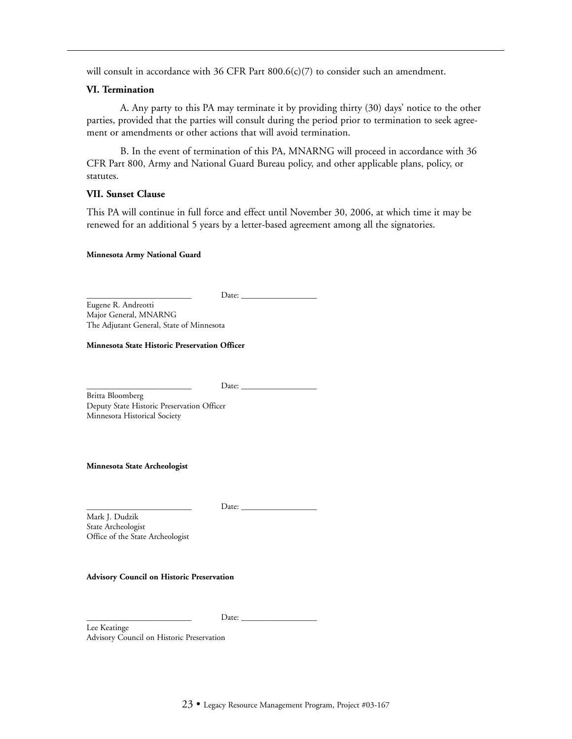will consult in accordance with 36 CFR Part  $800.6(c)(7)$  to consider such an amendment.

#### **VI. Termination**

A. Any party to this PA may terminate it by providing thirty (30) days' notice to the other parties, provided that the parties will consult during the period prior to termination to seek agreement or amendments or other actions that will avoid termination.

B. In the event of termination of this PA, MNARNG will proceed in accordance with 36 CFR Part 800, Army and National Guard Bureau policy, and other applicable plans, policy, or statutes.

#### **VII. Sunset Clause**

This PA will continue in full force and effect until November 30, 2006, at which time it may be renewed for an additional 5 years by a letter-based agreement among all the signatories.

#### **Minnesota Army National Guard**

 $\text{Date:}$ 

Eugene R. Andreotti Major General, MNARNG The Adjutant General, State of Minnesota

**Minnesota State Historic Preservation Officer**

 $Date:$ 

Britta Bloomberg Deputy State Historic Preservation Officer Minnesota Historical Society

**Minnesota State Archeologist**

Mark J. Dudzik State Archeologist Office of the State Archeologist \_\_\_\_\_\_\_\_\_\_\_\_\_\_\_\_\_\_\_\_\_\_\_\_\_ Date: \_\_\_\_\_\_\_\_\_\_\_\_\_\_\_\_\_\_

**Advisory Council on Historic Preservation**

\_\_\_\_\_\_\_\_\_\_\_\_\_\_\_\_\_\_\_\_\_\_\_\_\_ Date: \_\_\_\_\_\_\_\_\_\_\_\_\_\_\_\_\_\_

Lee Keatinge Advisory Council on Historic Preservation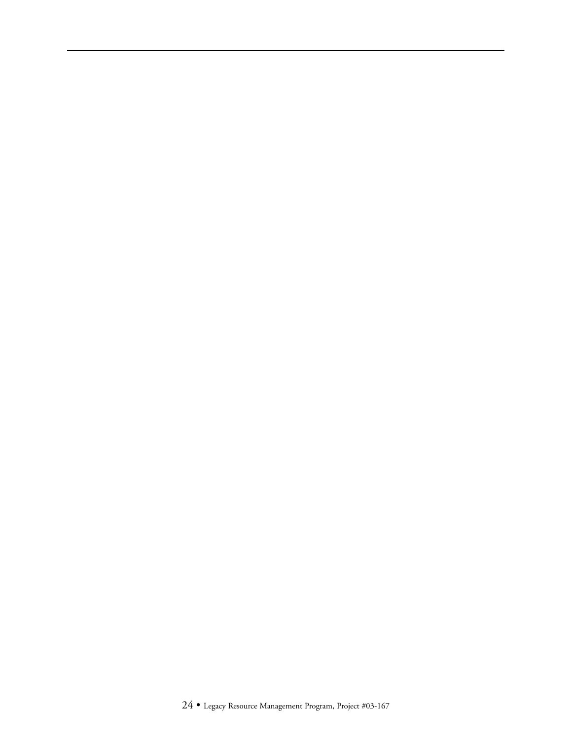24 • Legacy Resource Management Program, Project #03-167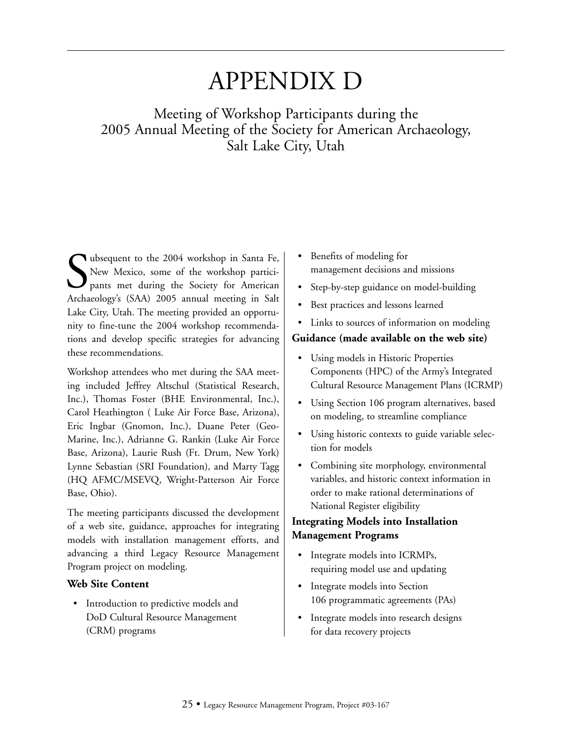## APPENDIX D

Meeting of Workshop Participants during the 2005 Annual Meeting of the Society for American Archaeology, Salt Lake City, Utah

Subsequent to the 2004 workshop in Santa Fe,<br>New Mexico, some of the workshop partici-<br>pants met during the Society for American<br>Archaeology's (SAA) 2005 annual meeting in Salt Ubsequent to the 2004 workshop in Santa Fe, New Mexico, some of the workshop participants met during the Society for American Lake City, Utah. The meeting provided an opportunity to fine-tune the 2004 workshop recommendations and develop specific strategies for advancing these recommendations.

Workshop attendees who met during the SAA meeting included Jeffrey Altschul (Statistical Research, Inc.), Thomas Foster (BHE Environmental, Inc.), Carol Heathington ( Luke Air Force Base, Arizona), Eric Ingbar (Gnomon, Inc.), Duane Peter (Geo-Marine, Inc.), Adrianne G. Rankin (Luke Air Force Base, Arizona), Laurie Rush (Ft. Drum, New York) Lynne Sebastian (SRI Foundation), and Marty Tagg (HQ AFMC/MSEVQ, Wright-Patterson Air Force Base, Ohio).

The meeting participants discussed the development of a web site, guidance, approaches for integrating models with installation management efforts, and advancing a third Legacy Resource Management Program project on modeling.

#### **Web Site Content**

• Introduction to predictive models and DoD Cultural Resource Management (CRM) programs

- Benefits of modeling for management decisions and missions
- Step-by-step guidance on model-building
- Best practices and lessons learned
- Links to sources of information on modeling

#### **Guidance (made available on the web site)**

- Using models in Historic Properties Components (HPC) of the Army's Integrated Cultural Resource Management Plans (ICRMP)
- Using Section 106 program alternatives, based on modeling, to streamline compliance
- Using historic contexts to guide variable selection for models
- Combining site morphology, environmental variables, and historic context information in order to make rational determinations of National Register eligibility

### **Integrating Models into Installation Management Programs**

- Integrate models into ICRMPs, requiring model use and updating
- Integrate models into Section 106 programmatic agreements (PAs)
- Integrate models into research designs for data recovery projects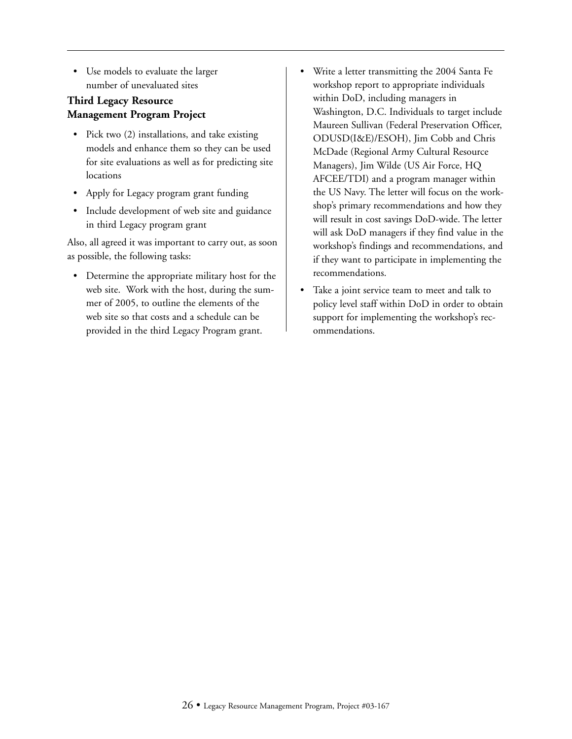• Use models to evaluate the larger number of unevaluated sites

### **Third Legacy Resource Management Program Project**

- Pick two (2) installations, and take existing models and enhance them so they can be used for site evaluations as well as for predicting site locations
- Apply for Legacy program grant funding
- Include development of web site and guidance in third Legacy program grant

Also, all agreed it was important to carry out, as soon as possible, the following tasks:

- Determine the appropriate military host for the web site. Work with the host, during the summer of 2005, to outline the elements of the web site so that costs and a schedule can be provided in the third Legacy Program grant.
- Write a letter transmitting the 2004 Santa Fe workshop report to appropriate individuals within DoD, including managers in Washington, D.C. Individuals to target include Maureen Sullivan (Federal Preservation Officer, ODUSD(I&E)/ESOH), Jim Cobb and Chris McDade (Regional Army Cultural Resource Managers), Jim Wilde (US Air Force, HQ AFCEE/TDI) and a program manager within the US Navy. The letter will focus on the workshop's primary recommendations and how they will result in cost savings DoD-wide. The letter will ask DoD managers if they find value in the workshop's findings and recommendations, and if they want to participate in implementing the recommendations.
- Take a joint service team to meet and talk to policy level staff within DoD in order to obtain support for implementing the workshop's recommendations.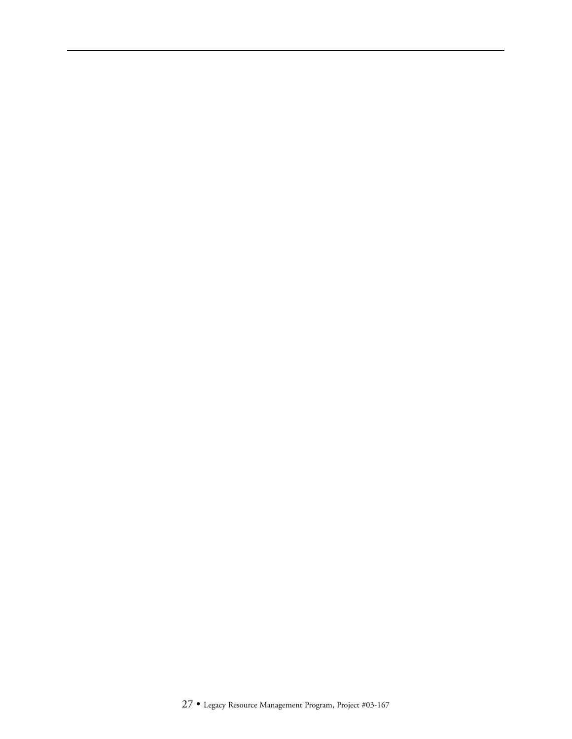• Legacy Resource Management Program, Project #03-167